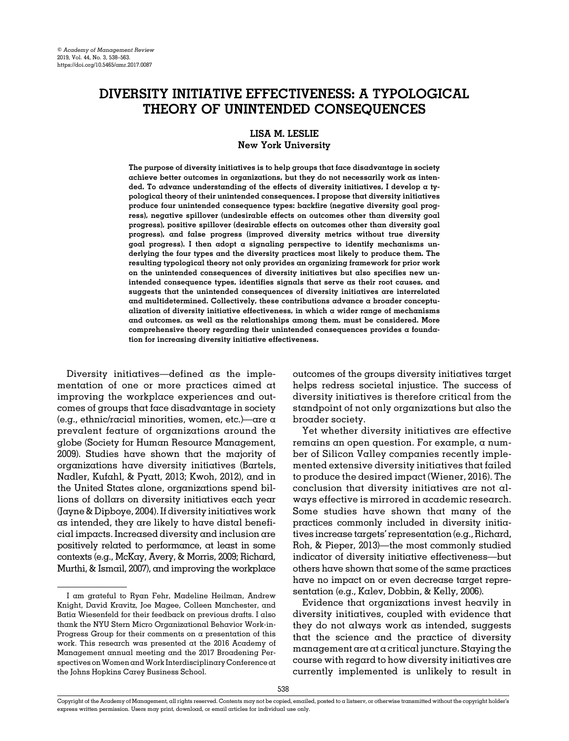# DIVERSITY INITIATIVE EFFECTIVENESS: A TYPOLOGICAL THEORY OF UNINTENDED CONSEQUENCES

# LISA M. LESLIE New York University

The purpose of diversity initiatives is to help groups that face disadvantage in society achieve better outcomes in organizations, but they do not necessarily work as intended. To advance understanding of the effects of diversity initiatives, I develop a typological theory of their unintended consequences. I propose that diversity initiatives produce four unintended consequence types: backfire (negative diversity goal progress), negative spillover (undesirable effects on outcomes other than diversity goal progress), positive spillover (desirable effects on outcomes other than diversity goal progress), and false progress (improved diversity metrics without true diversity goal progress). I then adopt  $\alpha$  signaling perspective to identify mechanisms underlying the four types and the diversity practices most likely to produce them. The resulting typological theory not only provides an organizing framework for prior work on the unintended consequences of diversity initiatives but also specifies new unintended consequence types, identifies signals that serve as their root causes, and suggests that the unintended consequences of diversity initiatives are interrelated and multidetermined. Collectively, these contributions advance a broader conceptualization of diversity initiative effectiveness, in which a wider range of mechanisms and outcomes, as well as the relationships among them, must be considered. More comprehensive theory regarding their unintended consequences provides a foundation for increasing diversity initiative effectiveness.

Diversity initiatives—defined as the implementation of one or more practices aimed at improving the workplace experiences and outcomes of groups that face disadvantage in society (e.g., ethnic/racial minorities, women, etc.)—are a prevalent feature of organizations around the globe [\(Society for Human Resource Management,](#page-25-0) [2009](#page-25-0)). Studies have shown that the majority of organizations have diversity initiatives [\(Bartels,](#page-21-0) [Nadler, Kufahl,](#page-21-0) [& Pyatt, 2013](#page-21-0); [Kwoh, 2012](#page-23-0)), and in the United States alone, organizations spend billions of dollars on diversity initiatives each year [\(Jayne & Dipboye, 2004\)](#page-23-0). If diversity initiatives work as intended, they are likely to have distal beneficial impacts. Increased diversity and inclusion are positively related to performance, at least in some contexts (e.g., [McKay, Avery, & Morris, 2009; Richard,](#page-24-0) [Murthi, & Ismail, 2007\)](#page-24-0), and improving the workplace

outcomes of the groups diversity initiatives target helps redress societal injustice. The success of diversity initiatives is therefore critical from the standpoint of not only organizations but also the broader society.

Yet whether diversity initiatives are effective remains an open question. For example, a number of Silicon Valley companies recently implemented extensive diversity initiatives that failed to produce the desired impact ([Wiener, 2016](#page-25-0)). The conclusion that diversity initiatives are not always effective is mirrored in academic research. Some studies have shown that many of the practices commonly included in diversity initiatives increase targets'representation (e.g., [Richard,](#page-24-0) [Roh,](#page-24-0) & [Pieper, 2013](#page-24-0))—the most commonly studied indicator of diversity initiative effectiveness—but others have shown that some of the same practices have no impact on or even decrease target representation (e.g., [Kalev, Dobbin,](#page-23-0) [& Kelly, 2006](#page-23-0)).

Evidence that organizations invest heavily in diversity initiatives, coupled with evidence that they do not always work as intended, suggests that the science and the practice of diversity management are at a critical juncture. Staying the course with regard to how diversity initiatives are currently implemented is unlikely to result in

I am grateful to Ryan Fehr, Madeline Heilman, Andrew Knight, David Kravitz, Joe Magee, Colleen Manchester, and Batia Wiesenfeld for their feedback on previous drafts. I also thank the NYU Stern Micro Organizational Behavior Work-in-Progress Group for their comments on  $\alpha$  presentation of this work. This research was presented at the 2016 Academy of Management annual meeting and the 2017 Broadening Perspectives onWomen andWork Interdisciplinary Conference at the Johns Hopkins Carey Business School.

Copyright of the Academy of Management, all rights reserved. Contents may not be copied, emailed, posted to a listserv, or otherwise transmitted without the copyright holder's express written permission. Users may print, download, or email articles for individual use only.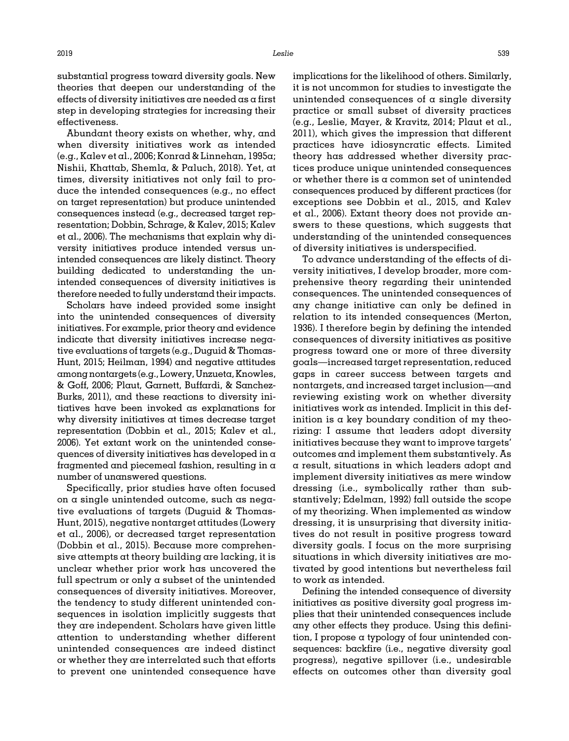substantial progress toward diversity goals. New theories that deepen our understanding of the effects of diversity initiatives are needed as a first step in developing strategies for increasing their effectiveness.

Abundant theory exists on whether, why, and when diversity initiatives work as intended (e.g., [Kalev et al., 2006](#page-23-0); [Konrad & Linnehan, 1995a;](#page-23-0) [Nishii, Khattab, Shemla,](#page-24-0) & [Paluch, 2018\)](#page-24-0). Yet, at times, diversity initiatives not only fail to produce the intended consequences (e.g., no effect on target representation) but produce unintended consequences instead (e.g., decreased target representation; [Dobbin, Schrage, & Kalev, 2015;](#page-22-0) [Kalev](#page-23-0) [et al., 2006\)](#page-23-0). The mechanisms that explain why diversity initiatives produce intended versus unintended consequences are likely distinct. Theory building dedicated to understanding the unintended consequences of diversity initiatives is therefore needed to fully understand their impacts.

Scholars have indeed provided some insight into the unintended consequences of diversity initiatives. For example, prior theory and evidence indicate that diversity initiatives increase negative evaluations of targets (e.g., [Duguid & Thomas-](#page-22-0)[Hunt, 2015;](#page-22-0) [Heilman, 1994](#page-23-0)) and negative attitudes among nontargets (e.g., [Lowery, Unzueta, Knowles,](#page-24-0) & [Goff, 2006; Plaut, Garnett, Buffardi, & Sanchez-](#page-24-0)[Burks, 2011](#page-24-0)), and these reactions to diversity initiatives have been invoked as explanations for why diversity initiatives at times decrease target representation [\(Dobbin et al., 2015](#page-22-0); [Kalev et al.,](#page-23-0) [2006](#page-23-0)). Yet extant work on the unintended consequences of diversity initiatives has developed in a fragmented and piecemeal fashion, resulting in a number of unanswered questions.

Specifically, prior studies have often focused on a single unintended outcome, such as negative evaluations of targets ([Duguid](#page-22-0) & [Thomas-](#page-22-0)[Hunt, 2015](#page-22-0)), negative nontarget attitudes [\(Lowery](#page-24-0) [et al., 2006\)](#page-24-0), or decreased target representation ([Dobbin et al., 2015\)](#page-22-0). Because more comprehensive attempts at theory building are lacking, it is unclear whether prior work has uncovered the full spectrum or only a subset of the unintended consequences of diversity initiatives. Moreover, the tendency to study different unintended consequences in isolation implicitly suggests that they are independent. Scholars have given little attention to understanding whether different unintended consequences are indeed distinct or whether they are interrelated such that efforts to prevent one unintended consequence have

implications for the likelihood of others. Similarly, it is not uncommon for studies to investigate the unintended consequences of  $\alpha$  single diversity practice or small subset of diversity practices (e.g., [Leslie, Mayer,](#page-24-0) & [Kravitz, 2014; Plaut et al.,](#page-24-0) [2011](#page-24-0)), which gives the impression that different practices have idiosyncratic effects. Limited theory has addressed whether diversity practices produce unique unintended consequences or whether there is a common set of unintended consequences produced by different practices (for exceptions see [Dobbin et al., 2015](#page-22-0), and [Kalev](#page-23-0) [et al., 2006](#page-23-0)). Extant theory does not provide answers to these questions, which suggests that understanding of the unintended consequences of diversity initiatives is underspecified.

To advance understanding of the effects of diversity initiatives, I develop broader, more comprehensive theory regarding their unintended consequences. The unintended consequences of any change initiative can only be defined in relation to its intended consequences [\(Merton,](#page-24-0) [1936](#page-24-0)). I therefore begin by defining the intended consequences of diversity initiatives as positive progress toward one or more of three diversity goals—increased target representation, reduced gaps in career success between targets and nontargets, and increased target inclusion—and reviewing existing work on whether diversity initiatives work as intended. Implicit in this definition is  $\alpha$  key boundary condition of my theorizing: I assume that leaders adopt diversity initiatives because they want to improve targets' outcomes and implement them substantively. As a result, situations in which leaders adopt and implement diversity initiatives as mere window dressing (i.e., symbolically rather than substantively; [Edelman, 1992\)](#page-22-0) fall outside the scope of my theorizing. When implemented as window dressing, it is unsurprising that diversity initiatives do not result in positive progress toward diversity goals. I focus on the more surprising situations in which diversity initiatives are motivated by good intentions but nevertheless fail to work as intended.

Defining the intended consequence of diversity initiatives as positive diversity goal progress implies that their unintended consequences include any other effects they produce. Using this definition, I propose a typology of four unintended consequences: backfire (i.e., negative diversity goal progress), negative spillover (i.e., undesirable effects on outcomes other than diversity goal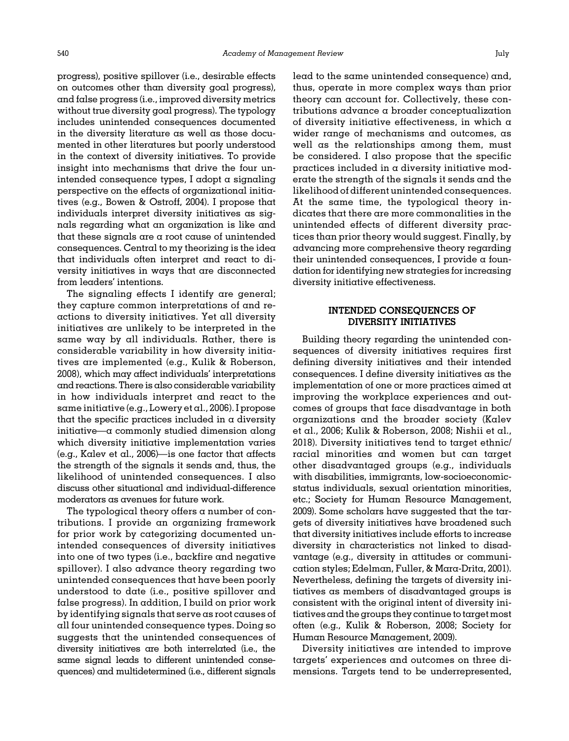progress), positive spillover (i.e., desirable effects on outcomes other than diversity goal progress), and false progress (i.e., improved diversity metrics without true diversity goal progress). The typology includes unintended consequences documented in the diversity literature as well as those documented in other literatures but poorly understood in the context of diversity initiatives. To provide insight into mechanisms that drive the four unintended consequence types, I adopt a signaling perspective on the effects of organizational initiatives (e.g., [Bowen](#page-21-0) [& Ostroff, 2004](#page-21-0)). I propose that individuals interpret diversity initiatives as signals regarding what an organization is like and that these signals are a root cause of unintended consequences. Central to my theorizing is the idea that individuals often interpret and react to diversity initiatives in ways that are disconnected from leaders' intentions.

The signaling effects I identify are general; they capture common interpretations of and reactions to diversity initiatives. Yet all diversity initiatives are unlikely to be interpreted in the same way by all individuals. Rather, there is considerable variability in how diversity initiatives are implemented (e.g., [Kulik](#page-23-0) & [Roberson,](#page-23-0) [2008](#page-23-0)), which may affect individuals' interpretations and reactions. There is also considerable variability in how individuals interpret and react to the same initiative (e.g., [Lowery et al., 2006](#page-24-0)). I propose that the specific practices included in a diversity initiative—a commonly studied dimension along which diversity initiative implementation varies (e.g., [Kalev et al., 2006\)](#page-23-0)—is one factor that affects the strength of the signals it sends and, thus, the likelihood of unintended consequences. I also discuss other situational and individual-difference moderators as avenues for future work.

The typological theory offers a number of contributions. I provide an organizing framework for prior work by categorizing documented unintended consequences of diversity initiatives into one of two types (i.e., backfire and negative spillover). I also advance theory regarding two unintended consequences that have been poorly understood to date (i.e., positive spillover and false progress). In addition, I build on prior work by identifying signals that serve as root causes of all four unintended consequence types. Doing so suggests that the unintended consequences of diversity initiatives are both interrelated (i.e., the same signal leads to different unintended consequences) and multidetermined (i.e., different signals lead to the same unintended consequence) and, thus, operate in more complex ways than prior theory can account for. Collectively, these contributions advance a broader conceptualization of diversity initiative effectiveness, in which a wider range of mechanisms and outcomes, as well as the relationships among them, must be considered. I also propose that the specific practices included in a diversity initiative moderate the strength of the signals it sends and the likelihood of different unintended consequences. At the same time, the typological theory indicates that there are more commonalities in the unintended effects of different diversity practices than prior theory would suggest. Finally, by advancing more comprehensive theory regarding their unintended consequences, I provide  $\alpha$  foundation for identifying new strategies for increasing diversity initiative effectiveness.

# INTENDED CONSEQUENCES OF DIVERSITY INITIATIVES

Building theory regarding the unintended consequences of diversity initiatives requires first defining diversity initiatives and their intended consequences. I define diversity initiatives as the implementation of one or more practices aimed at improving the workplace experiences and outcomes of groups that face disadvantage in both organizations and the broader society ([Kalev](#page-23-0) [et al., 2006; Kulik & Roberson, 2008;](#page-23-0) [Nishii et al.,](#page-24-0) [2018](#page-24-0)). Diversity initiatives tend to target ethnic/ racial minorities and women but can target other disadvantaged groups (e.g., individuals with disabilities, immigrants, low-socioeconomicstatus individuals, sexual orientation minorities, etc.; [Society for Human Resource Management,](#page-25-0) [2009\)](#page-25-0). Some scholars have suggested that the targets of diversity initiatives have broadened such that diversity initiatives include efforts to increase diversity in characteristics not linked to disadvantage (e.g., diversity in attitudes or communication styles; [Edelman, Fuller,](#page-22-0) [& Mara-Drita, 2001](#page-22-0)). Nevertheless, defining the targets of diversity initiatives as members of disadvantaged groups is consistent with the original intent of diversity initiatives and the groups they continue to target most often (e.g., [Kulik](#page-23-0) [& Roberson, 2008;](#page-23-0) [Society for](#page-25-0) [Human Resource Management, 2009](#page-25-0)).

Diversity initiatives are intended to improve targets' experiences and outcomes on three dimensions. Targets tend to be underrepresented,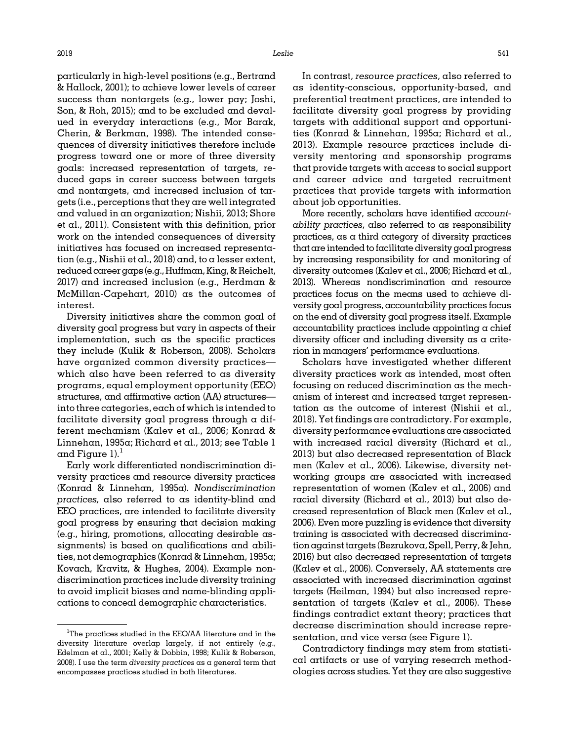particularly in high-level positions (e.g., [Bertrand](#page-21-0) & [Hallock, 2001\)](#page-21-0); to achieve lower levels of career success than nontargets (e.g., lower pay; [Joshi,](#page-23-0) [Son, & Roh, 2015](#page-23-0)); and to be excluded and devalued in everyday interactions (e.g., [Mor Barak,](#page-24-0) [Cherin,](#page-24-0) [& Berkman, 1998\)](#page-24-0). The intended consequences of diversity initiatives therefore include progress toward one or more of three diversity goals: increased representation of targets, reduced gaps in career success between targets and nontargets, and increased inclusion of targets (i.e., perceptions that they are well integrated and valued in an organization; [Nishii, 2013](#page-24-0); [Shore](#page-25-0) [et al., 2011\)](#page-25-0). Consistent with this definition, prior work on the intended consequences of diversity initiatives has focused on increased representation (e.g., [Nishii et al., 2018](#page-24-0)) and, to a lesser extent, reduced career gaps(e.g., [Huffman, King, & Reichelt,](#page-23-0) [2017\)](#page-23-0) and increased inclusion (e.g., [Herdman &](#page-23-0) [McMillan-Capehart, 2010](#page-23-0)) as the outcomes of interest.

Diversity initiatives share the common goal of diversity goal progress but vary in aspects of their implementation, such as the specific practices they include ([Kulik & Roberson, 2008](#page-23-0)). Scholars have organized common diversity practices which also have been referred to as diversity programs, equal employment opportunity (EEO) structures, and affirmative action (AA) structures into three categories, each of which is intended to facilitate diversity goal progress through a different mechanism [\(Kalev et al., 2006; Konrad &](#page-23-0) [Linnehan, 1995a](#page-23-0); [Richard et al., 2013;](#page-24-0) see [Table 1](#page-4-0) and Figure  $1$ ).<sup>1</sup>

Early work differentiated nondiscrimination diversity practices and resource diversity practices [\(Konrad & Linnehan, 1995a](#page-23-0)). Nondiscrimination practices, also referred to as identity-blind and EEO practices, are intended to facilitate diversity goal progress by ensuring that decision making (e.g., hiring, promotions, allocating desirable assignments) is based on qualifications and abilities, not demographics ([Konrad & Linnehan, 1995a;](#page-23-0) [Kovach, Kravitz, & Hughes, 2004](#page-23-0)). Example nondiscrimination practices include diversity training to avoid implicit biases and name-blinding applications to conceal demographic characteristics.

In contrast, resource practices, also referred to as identity-conscious, opportunity-based, and preferential treatment practices, are intended to facilitate diversity goal progress by providing targets with additional support and opportunities [\(Konrad & Linnehan, 1995a](#page-23-0); [Richard et al.,](#page-24-0) [2013](#page-24-0)). Example resource practices include diversity mentoring and sponsorship programs that provide targets with access to social support and career advice and targeted recruitment practices that provide targets with information about job opportunities.

More recently, scholars have identified accountability practices, also referred to as responsibility practices, as a third category of diversity practices that are intended to facilitate diversity goal progress by increasing responsibility for and monitoring of diversity outcomes ([Kalev et](#page-23-0) al., 2006; [Richard et al.,](#page-24-0) [2013\)](#page-24-0). Whereas nondiscrimination and resource practices focus on the means used to achieve diversity goal progress, accountability practices focus on the end of diversity goal progress itself. Example accountability practices include appointing a chief diversity officer and including diversity as a criterion in managers' performance evaluations.

Scholars have investigated whether different diversity practices work as intended, most often focusing on reduced discrimination as the mechanism of interest and increased target representation as the outcome of interest ([Nishii et al.,](#page-24-0) [2018\)](#page-24-0). Yet findings are contradictory. For example, diversity performance evaluations are associated with increased racial diversity [\(Richard et al.,](#page-24-0) [2013\)](#page-24-0) but also decreased representation of Black men ([Kalev et al., 2006](#page-23-0)). Likewise, diversity networking groups are associated with increased representation of women [\(Kalev et al., 2006](#page-23-0)) and racial diversity ([Richard et al., 2013](#page-24-0)) but also decreased representation of Black men ([Kalev et al.,](#page-23-0) [2006](#page-23-0)). Even more puzzling is evidence that diversity training is associated with decreased discrimination against targets ([Bezrukova, Spell, Perry, & Jehn,](#page-21-0) [2016](#page-21-0)) but also decreased representation of targets ([Kalev et al., 2006\)](#page-23-0). Conversely, AA statements are associated with increased discrimination against targets [\(Heilman, 1994\)](#page-23-0) but also increased representation of targets ([Kalev et al., 2006\)](#page-23-0). These findings contradict extant theory; practices that decrease discrimination should increase representation, and vice versa (see [Figure 1](#page-5-0)).

Contradictory findings may stem from statistical artifacts or use of varying research methodologies across studies. Yet they are also suggestive

<sup>&</sup>lt;sup>1</sup>The practices studied in the EEO/AA literature and in the diversity literature overlap largely, if not entirely (e.g., [Edelman et al., 2001;](#page-22-0) [Kelly & Dobbin, 1998](#page-23-0); [Kulik & Roberson,](#page-23-0) [2008\)](#page-23-0). I use the term diversity practices as a general term that encompasses practices studied in both literatures.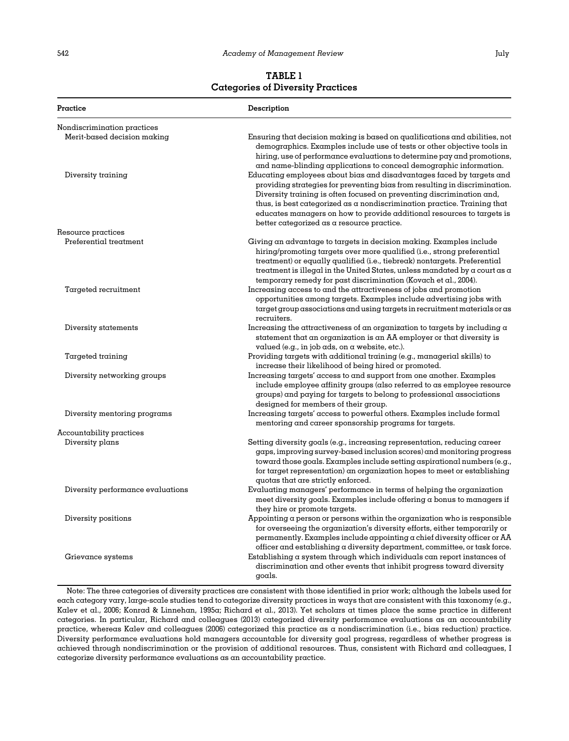# TABLE 1 Categories of Diversity Practices

<span id="page-4-0"></span>

| Practice                          | Description                                                                                                                                                                                                                                                                                                                                                                                                                      |
|-----------------------------------|----------------------------------------------------------------------------------------------------------------------------------------------------------------------------------------------------------------------------------------------------------------------------------------------------------------------------------------------------------------------------------------------------------------------------------|
| Nondiscrimination practices       |                                                                                                                                                                                                                                                                                                                                                                                                                                  |
| Merit-based decision making       | Ensuring that decision making is based on qualifications and abilities, not<br>demographics. Examples include use of tests or other objective tools in<br>hiring, use of performance evaluations to determine pay and promotions,<br>and name-blinding applications to conceal demographic information.                                                                                                                          |
| Diversity training                | Educating employees about bias and disadvantages faced by targets and<br>providing strategies for preventing bias from resulting in discrimination.<br>Diversity training is often focused on preventing discrimination and,<br>thus, is best categorized as a nondiscrimination practice. Training that<br>educates managers on how to provide additional resources to targets is<br>better categorized as a resource practice. |
| Resource practices                |                                                                                                                                                                                                                                                                                                                                                                                                                                  |
| Preferential treatment            | Giving an advantage to targets in decision making. Examples include<br>hiring/promoting targets over more qualified (i.e., strong preferential<br>treatment) or equally qualified (i.e., tiebreak) nontargets. Preferential<br>treatment is illegal in the United States, unless mandated by a court as a<br>temporary remedy for past discrimination (Kovach et al., 2004).                                                     |
| Targeted recruitment              | Increasing access to and the attractiveness of jobs and promotion<br>opportunities among targets. Examples include advertising jobs with<br>target group associations and using targets in recruitment materials or as<br>recruiters.                                                                                                                                                                                            |
| Diversity statements              | Increasing the attractiveness of an organization to targets by including $\alpha$<br>statement that an organization is an AA employer or that diversity is<br>valued (e.g., in job ads, on a website, etc.).                                                                                                                                                                                                                     |
| Targeted training                 | Providing targets with additional training (e.g., managerial skills) to<br>increase their likelihood of being hired or promoted.                                                                                                                                                                                                                                                                                                 |
| Diversity networking groups       | Increasing targets' access to and support from one another. Examples<br>include employee affinity groups (also referred to as employee resource<br>groups) and paying for targets to belong to professional associations<br>designed for members of their group.                                                                                                                                                                 |
| Diversity mentoring programs      | Increasing targets' access to powerful others. Examples include formal<br>mentoring and career sponsorship programs for targets.                                                                                                                                                                                                                                                                                                 |
| Accountability practices          |                                                                                                                                                                                                                                                                                                                                                                                                                                  |
| Diversity plans                   | Setting diversity goals (e.g., increasing representation, reducing career<br>gaps, improving survey-based inclusion scores) and monitoring progress<br>toward those goals. Examples include setting aspirational numbers (e.g.,<br>for target representation) an organization hopes to meet or establishing<br>quotas that are strictly enforced.                                                                                |
| Diversity performance evaluations | Evaluating managers' performance in terms of helping the organization<br>meet diversity goals. Examples include offering $\alpha$ bonus to managers if<br>they hire or promote targets.                                                                                                                                                                                                                                          |
| Diversity positions               | Appointing a person or persons within the organization who is responsible<br>for overseeing the organization's diversity efforts, either temporarily or<br>permanently. Examples include appointing a chief diversity officer or AA<br>officer and establishing a diversity department, committee, or task force.                                                                                                                |
| Grievance systems                 | Establishing a system through which individuals can report instances of<br>discrimination and other events that inhibit progress toward diversity<br>goαls.                                                                                                                                                                                                                                                                      |

Note: The three categories of diversity practices are consistent with those identified in prior work; although the labels used for each category vary, large-scale studies tend to categorize diversity practices in ways that are consistent with this taxonomy (e.g., [Kalev et al., 2006](#page-23-0); [Konrad & Linnehan, 1995a](#page-23-0); [Richard et al., 2013\)](#page-24-0). Yet scholars at times place the same practice in different categories. In particular, [Richard and colleagues \(2013\)](#page-24-0) categorized diversity performance evaluations as an accountability practice, whereas [Kalev and colleagues \(2006\)](#page-23-0) categorized this practice as a nondiscrimination (i.e., bias reduction) practice. Diversity performance evaluations hold managers accountable for diversity goal progress, regardless of whether progress is achieved through nondiscrimination or the provision of additional resources. Thus, consistent with Richard and colleagues, I categorize diversity performance evaluations as an accountability practice.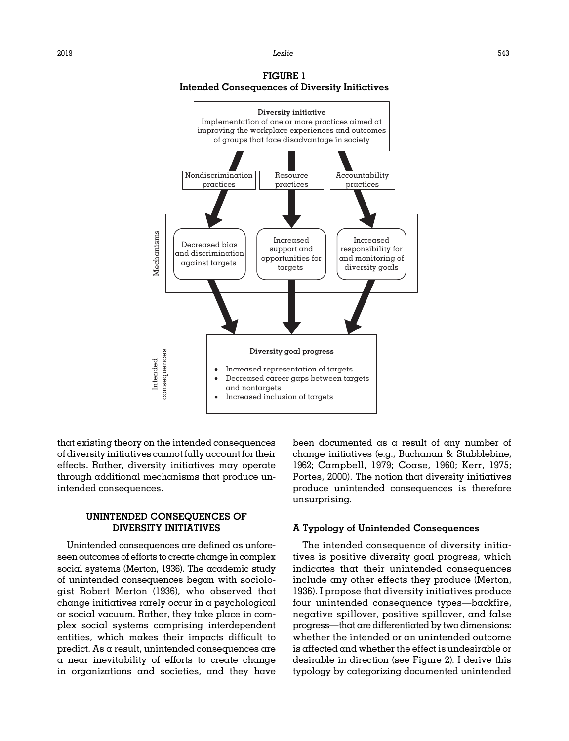

<span id="page-5-0"></span>

that existing theory on the intended consequences of diversity initiatives cannot fully account for their effects. Rather, diversity initiatives may operate through additional mechanisms that produce unintended consequences.

# UNINTENDED CONSEQUENCES OF DIVERSITY INITIATIVES

Unintended consequences are defined as unforeseen outcomes of efforts to create change in complex social systems [\(Merton, 1936\)](#page-24-0). The academic study of unintended consequences began with sociologist Robert [Merton \(1936\),](#page-24-0) who observed that change initiatives rarely occur in a psychological or social vacuum. Rather, they take place in complex social systems comprising interdependent entities, which makes their impacts difficult to predict. As a result, unintended consequences are a near inevitability of efforts to create change in organizations and societies, and they have

been documented as a result of any number of change initiatives (e.g., [Buchanan](#page-22-0) [& Stubblebine,](#page-22-0) [1962](#page-22-0); [Campbell, 1979; Coase, 1960](#page-22-0); [Kerr, 1975;](#page-23-0) [Portes, 2000\)](#page-24-0). The notion that diversity initiatives produce unintended consequences is therefore unsurprising.

## A Typology of Unintended Consequences

The intended consequence of diversity initiatives is positive diversity goal progress, which indicates that their unintended consequences include any other effects they produce [\(Merton,](#page-24-0) [1936](#page-24-0)). I propose that diversity initiatives produce four unintended consequence types—backfire, negative spillover, positive spillover, and false progress—that are differentiated by two dimensions: whether the intended or an unintended outcome is affected and whether the effect is undesirable or desirable in direction (see [Figure 2\)](#page-6-0). I derive this typology by categorizing documented unintended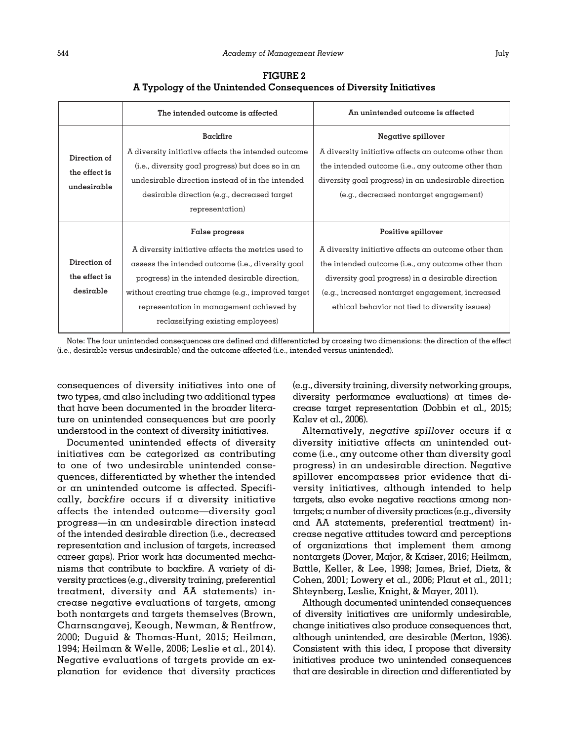<span id="page-6-0"></span>

|               | The intended outcome is affected                    | An unintended outcome is affected                    |
|---------------|-----------------------------------------------------|------------------------------------------------------|
|               | Backfire                                            | Negative spillover                                   |
| Direction of  | A diversity initiative affects the intended outcome | A diversity initiative affects an outcome other than |
| the effect is | (i.e., diversity goal progress) but does so in an   | the intended outcome (i.e., any outcome other than   |
| undesirable   | undesirable direction instead of in the intended    | diversity goal progress) in an undesirable direction |
|               | desirable direction (e.g., decreased target         | (e.g., decreased nontarget engagement)               |
|               | representation)                                     |                                                      |
|               | False progress                                      | Positive spillover                                   |
|               | A diversity initiative affects the metrics used to  | A diversity initiative affects an outcome other than |
| Direction of  | assess the intended outcome (i.e., diversity goal   | the intended outcome (i.e., any outcome other than   |
| the effect is | progress) in the intended desirable direction,      | diversity goal progress) in a desirable direction    |
| desirable     | without creating true change (e.g., improved target | (e.g., increased nontarget engagement, increased     |
|               | representation in management achieved by            | ethical behavior not tied to diversity issues)       |
|               | reclassifying existing employees)                   |                                                      |

FIGURE 2 A Typology of the Unintended Consequences of Diversity Initiatives

Note: The four unintended consequences are defined and differentiated by crossing two dimensions: the direction of the effect (i.e., desirable versus undesirable) and the outcome affected (i.e., intended versus unintended).

consequences of diversity initiatives into one of two types, and also including two additional types that have been documented in the broader literature on unintended consequences but are poorly understood in the context of diversity initiatives.

Documented unintended effects of diversity initiatives can be categorized as contributing to one of two undesirable unintended consequences, differentiated by whether the intended or an unintended outcome is affected. Specifically, backfire occurs if a diversity initiative affects the intended outcome—diversity goal progress—in an undesirable direction instead of the intended desirable direction (i.e., decreased representation and inclusion of targets, increased career gaps). Prior work has documented mechanisms that contribute to backfire. A variety of diversity practices (e.g., diversity training, preferential treatment, diversity and AA statements) increase negative evaluations of targets, among both nontargets and targets themselves ([Brown,](#page-22-0) [Charnsangavej, Keough, Newman,](#page-22-0) & [Rentfrow,](#page-22-0) [2000; Duguid](#page-22-0) & [Thomas-Hunt, 2015](#page-22-0); [Heilman,](#page-23-0) [1994; Heilman](#page-23-0) [& Welle, 2006;](#page-23-0) [Leslie et al., 2014\)](#page-24-0). Negative evaluations of targets provide an explanation for evidence that diversity practices

(e.g., diversity training, diversity networking groups, diversity performance evaluations) at times decrease target representation [\(Dobbin et al., 2015;](#page-22-0) [Kalev et al., 2006\)](#page-23-0).

Alternatively, negative spillover occurs if a diversity initiative affects an unintended outcome (i.e., any outcome other than diversity goal progress) in an undesirable direction. Negative spillover encompasses prior evidence that diversity initiatives, although intended to help targets, also evoke negative reactions among nontargets; a number of diversity practices (e.g., diversity and AA statements, preferential treatment) increase negative attitudes toward and perceptions of organizations that implement them among nontargets [\(Dover, Major, & Kaiser, 2016;](#page-22-0) [Heilman,](#page-23-0) [Battle, Keller, & Lee, 1998; James, Brief, Dietz,](#page-23-0) & [Cohen, 2001](#page-23-0); [Lowery et al., 2006](#page-24-0); [Plaut et al., 2011;](#page-24-0) [Shteynberg, Leslie, Knight,](#page-25-0) & [Mayer, 2011\)](#page-25-0).

Although documented unintended consequences of diversity initiatives are uniformly undesirable, change initiatives also produce consequences that, although unintended, are desirable [\(Merton, 1936](#page-24-0)). Consistent with this idea, I propose that diversity initiatives produce two unintended consequences that are desirable in direction and differentiated by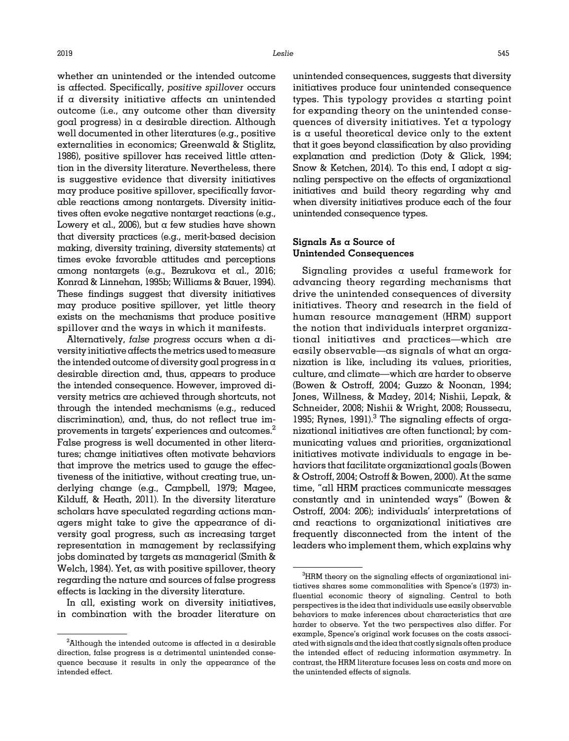whether an unintended or the intended outcome is affected. Specifically, positive spillover occurs if a diversity initiative affects an unintended outcome (i.e., any outcome other than diversity goal progress) in a desirable direction. Although well documented in other literatures (e.g., positive externalities in economics; [Greenwald](#page-23-0) [& Stiglitz,](#page-23-0) [1986](#page-23-0)), positive spillover has received little attention in the diversity literature. Nevertheless, there is suggestive evidence that diversity initiatives may produce positive spillover, specifically favorable reactions among nontargets. Diversity initiatives often evoke negative nontarget reactions (e.g., [Lowery et al., 2006\)](#page-24-0), but a few studies have shown that diversity practices (e.g., merit-based decision making, diversity training, diversity statements) at times evoke favorable attitudes and perceptions among nontargets (e.g., [Bezrukova et al., 2016;](#page-21-0) [Konrad & Linnehan, 1995b;](#page-23-0) [Williams & Bauer, 1994](#page-25-0)). These findings suggest that diversity initiatives may produce positive spillover, yet little theory exists on the mechanisms that produce positive spillover and the ways in which it manifests.

Alternatively, false progress occurs when a diversity initiative affects themetrics used tomeasure the intended outcome of diversity goal progress in  $\alpha$ desirable direction and, thus, appears to produce the intended consequence. However, improved diversity metrics are achieved through shortcuts, not through the intended mechanisms (e.g., reduced discrimination), and, thus, do not reflect true improvements in targets' experiences and outcomes.<sup>2</sup> False progress is well documented in other literatures; change initiatives often motivate behaviors that improve the metrics used to gauge the effectiveness of the initiative, without creating true, underlying change (e.g., [Campbell, 1979](#page-22-0); [Magee,](#page-24-0) [Kilduff, & Heath, 2011\)](#page-24-0). In the diversity literature scholars have speculated regarding actions managers might take to give the appearance of diversity goal progress, such as increasing target representation in management by reclassifying jobs dominated by targets as managerial ([Smith &](#page-25-0) [Welch, 1984](#page-25-0)). Yet, as with positive spillover, theory regarding the nature and sources of false progress effects is lacking in the diversity literature.

In all, existing work on diversity initiatives, in combination with the broader literature on

unintended consequences, suggests that diversity initiatives produce four unintended consequence types. This typology provides a starting point for expanding theory on the unintended consequences of diversity initiatives. Yet a typology is a useful theoretical device only to the extent that it goes beyond classification by also providing explanation and prediction ([Doty & Glick, 1994;](#page-22-0) [Snow & Ketchen, 2014](#page-25-0)). To this end, I adopt a signaling perspective on the effects of organizational initiatives and build theory regarding why and when diversity initiatives produce each of the four unintended consequence types.

# Signals As a Source of Unintended Consequences

Signaling provides a useful framework for advancing theory regarding mechanisms that drive the unintended consequences of diversity initiatives. Theory and research in the field of human resource management (HRM) support the notion that individuals interpret organizational initiatives and practices—which are easily observable—as signals of what an organization is like, including its values, priorities, culture, and climate—which are harder to observe ([Bowen & Ostroff, 2004;](#page-21-0) [Guzzo & Noonan, 1994;](#page-23-0) [Jones, Willness, & Madey, 2014](#page-23-0); [Nishii, Lepak,](#page-24-0) & [Schneider, 2008](#page-24-0); [Nishii & Wright, 2008](#page-24-0); [Rousseau,](#page-25-0) [1995; Rynes, 1991\)](#page-25-0).<sup>3</sup> The signaling effects of organizational initiatives are often functional; by communicating values and priorities, organizational initiatives motivate individuals to engage in behaviors that facilitate organizational goals [\(Bowen](#page-21-0) [& Ostroff, 2004;](#page-21-0) [Ostroff & Bowen, 2000](#page-24-0)). At the same time, "all HRM practices communicate messages constantly and in unintended ways" ([Bowen](#page-21-0) & [Ostroff, 2004:](#page-21-0) 206); individuals' interpretations of and reactions to organizational initiatives are frequently disconnected from the intent of the leaders who implement them, which explains why

 ${}^{2}\mathrm{Al}$ though the intended outcome is affected in a desirable direction, false progress is a detrimental unintended consequence because it results in only the appearance of the intended effect.

 ${}^{3}\mathrm{HRM}$  theory on the signaling effects of organizational initiatives shares some commonalities with [Spence](#page-25-0)'s (1973) influential economic theory of signaling. Central to both perspectives is the idea that individuals use easily observable behaviors to make inferences about characteristics that are harder to observe. Yet the two perspectives also differ. For example, Spence's original work focuses on the costs associated with signals and the idea that costly signals often produce the intended effect of reducing information asymmetry. In contrast, the HRM literature focuses less on costs and more on the unintended effects of signals.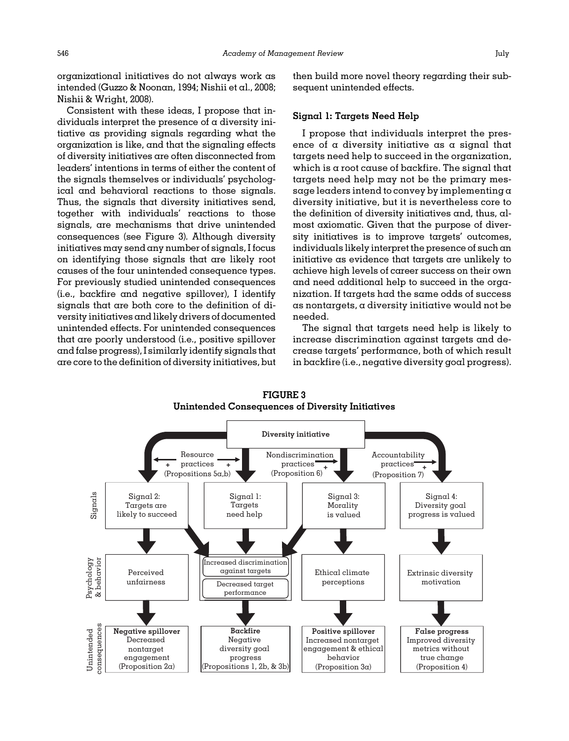organizational initiatives do not always work as intended [\(Guzzo & Noonan, 1994;](#page-23-0) [Nishii et al., 2008;](#page-24-0) [Nishii & Wright, 2008](#page-24-0)).

Consistent with these ideas, I propose that individuals interpret the presence of  $\alpha$  diversity initiative as providing signals regarding what the organization is like, and that the signaling effects of diversity initiatives are often disconnected from leaders' intentions in terms of either the content of the signals themselves or individuals' psychological and behavioral reactions to those signals. Thus, the signals that diversity initiatives send, together with individuals' reactions to those signals, are mechanisms that drive unintended consequences (see Figure 3). Although diversity initiatives may send any number of signals, I focus on identifying those signals that are likely root causes of the four unintended consequence types. For previously studied unintended consequences (i.e., backfire and negative spillover), I identify signals that are both core to the definition of diversity initiatives and likely drivers of documented unintended effects. For unintended consequences that are poorly understood (i.e., positive spillover and false progress), I similarly identify signals that are core to the definition of diversity initiatives, but

then build more novel theory regarding their subsequent unintended effects.

## Signal 1: Targets Need Help

I propose that individuals interpret the presence of  $\alpha$  diversity initiative as  $\alpha$  signal that targets need help to succeed in the organization, which is a root cause of backfire. The signal that targets need help may not be the primary message leaders intend to convey by implementing  $\alpha$ diversity initiative, but it is nevertheless core to the definition of diversity initiatives and, thus, almost axiomatic. Given that the purpose of diversity initiatives is to improve targets' outcomes, individuals likely interpret the presence of such an initiative as evidence that targets are unlikely to achieve high levels of career success on their own and need additional help to succeed in the organization. If targets had the same odds of success as nontargets, a diversity initiative would not be needed.

The signal that targets need help is likely to increase discrimination against targets and decrease targets' performance, both of which result in backfire (i.e., negative diversity goal progress).



FIGURE 3 Unintended Consequences of Diversity Initiatives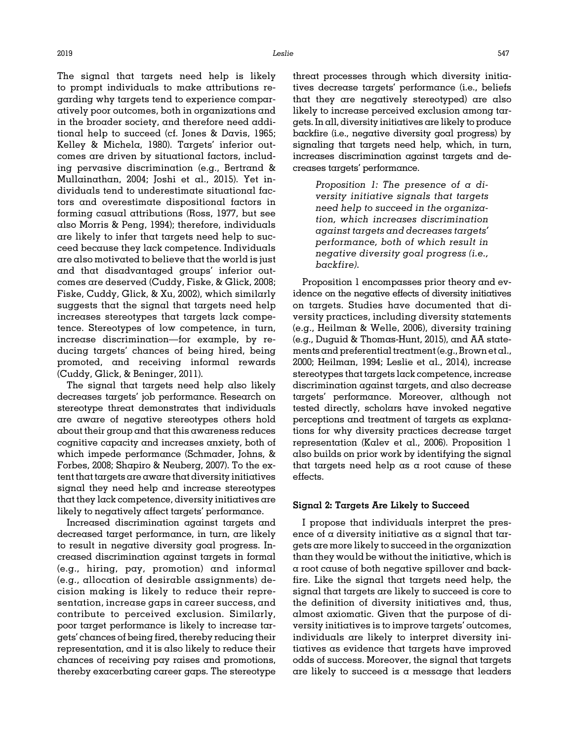The signal that targets need help is likely to prompt individuals to make attributions regarding why targets tend to experience comparatively poor outcomes, both in organizations and in the broader society, and therefore need additional help to succeed (cf. [Jones](#page-23-0) [& Davis, 1965;](#page-23-0) [Kelley](#page-23-0) & [Michela, 1980\)](#page-23-0). Targets' inferior outcomes are driven by situational factors, including pervasive discrimination (e.g., [Bertrand &](#page-21-0) [Mullainathan, 2004;](#page-21-0) [Joshi et al., 2015\)](#page-23-0). Yet individuals tend to underestimate situational factors and overestimate dispositional factors in forming casual attributions ([Ross, 1977](#page-25-0), but see also [Morris & Peng, 1994](#page-24-0)); therefore, individuals are likely to infer that targets need help to succeed because they lack competence. Individuals are also motivated to believe that the world is just and that disadvantaged groups' inferior outcomes are deserved ([Cuddy, Fiske,](#page-22-0) & [Glick, 2008;](#page-22-0) [Fiske, Cuddy, Glick, & Xu, 2002](#page-22-0)), which similarly suggests that the signal that targets need help increases stereotypes that targets lack competence. Stereotypes of low competence, in turn, increase discrimination—for example, by reducing targets' chances of being hired, being promoted, and receiving informal rewards ([Cuddy, Glick,](#page-22-0) & [Beninger, 2011](#page-22-0)).

The signal that targets need help also likely decreases targets' job performance. Research on stereotype threat demonstrates that individuals are aware of negative stereotypes others hold about their group and that this awareness reduces cognitive capacity and increases anxiety, both of which impede performance ([Schmader, Johns, &](#page-25-0) [Forbes, 2008; Shapiro](#page-25-0) [& Neuberg, 2007](#page-25-0)). To the extent that targets are aware that diversity initiatives signal they need help and increase stereotypes that they lack competence, diversity initiatives are likely to negatively affect targets' performance.

Increased discrimination against targets and decreased target performance, in turn, are likely to result in negative diversity goal progress. Increased discrimination against targets in formal (e.g., hiring, pay, promotion) and informal (e.g., allocation of desirable assignments) decision making is likely to reduce their representation, increase gaps in career success, and contribute to perceived exclusion. Similarly, poor target performance is likely to increase targets' chances of being fired, thereby reducing their representation, and it is also likely to reduce their chances of receiving pay raises and promotions, thereby exacerbating career gaps. The stereotype

threat processes through which diversity initiatives decrease targets' performance (i.e., beliefs that they are negatively stereotyped) are also likely to increase perceived exclusion among targets. In all, diversity initiatives are likely to produce backfire (i.e., negative diversity goal progress) by signaling that targets need help, which, in turn, increases discrimination against targets and decreases targets' performance.

> Proposition 1: The presence of  $\alpha$  diversity initiative signals that targets need help to succeed in the organization, which increases discrimination against targets and decreases targets' performance, both of which result in negative diversity goal progress (i.e., backfire).

Proposition 1 encompasses prior theory and evidence on the negative effects of diversity initiatives on targets. Studies have documented that diversity practices, including diversity statements (e.g., [Heilman](#page-23-0) [& Welle, 2006](#page-23-0)), diversity training (e.g., [Duguid & Thomas-Hunt, 2015](#page-22-0)), and AA statements and preferential treatment (e.g., [Brown et al.,](#page-22-0) [2000;](#page-22-0) [Heilman, 1994](#page-23-0); [Leslie et al., 2014\)](#page-24-0), increase stereotypes that targets lack competence, increase discrimination against targets, and also decrease targets' performance. Moreover, although not tested directly, scholars have invoked negative perceptions and treatment of targets as explanations for why diversity practices decrease target representation [\(Kalev et al., 2006\)](#page-23-0). Proposition 1 also builds on prior work by identifying the signal that targets need help as a root cause of these effects.

#### Signal 2: Targets Are Likely to Succeed

I propose that individuals interpret the presence of a diversity initiative as a signal that targets are more likely to succeed in the organization than they would be without the initiative, which is a root cause of both negative spillover and backfire. Like the signal that targets need help, the signal that targets are likely to succeed is core to the definition of diversity initiatives and, thus, almost axiomatic. Given that the purpose of diversity initiatives is to improve targets' outcomes, individuals are likely to interpret diversity initiatives as evidence that targets have improved odds of success. Moreover, the signal that targets are likely to succeed is a message that leaders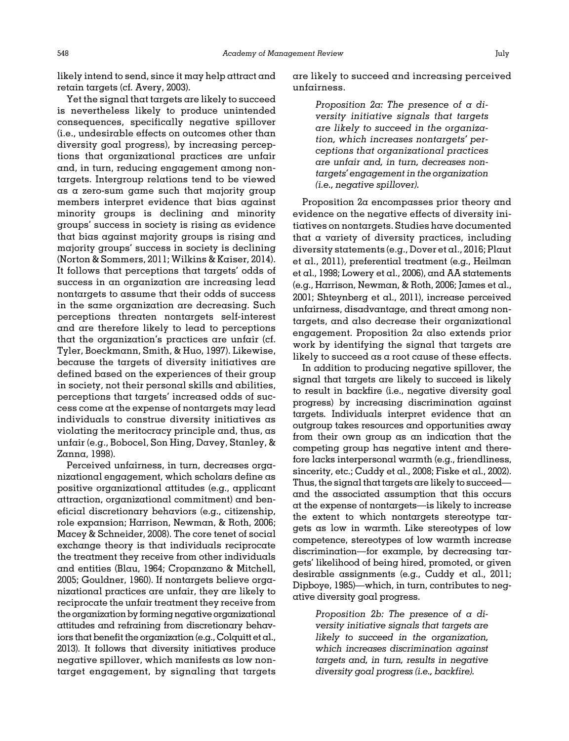likely intend to send, since it may help attract and retain targets (cf. [Avery, 2003\)](#page-21-0).

Yet the signal that targets are likely to succeed is nevertheless likely to produce unintended consequences, specifically negative spillover (i.e., undesirable effects on outcomes other than diversity goal progress), by increasing perceptions that organizational practices are unfair and, in turn, reducing engagement among nontargets. Intergroup relations tend to be viewed as a zero-sum game such that majority group members interpret evidence that bias against minority groups is declining and minority groups' success in society is rising as evidence that bias against majority groups is rising and majority groups' success in society is declining ([Norton](#page-24-0) & [Sommers, 2011;](#page-24-0) [Wilkins & Kaiser, 2014\)](#page-25-0). It follows that perceptions that targets' odds of success in an organization are increasing lead nontargets to assume that their odds of success in the same organization are decreasing. Such perceptions threaten nontargets self-interest and are therefore likely to lead to perceptions that the organization's practices are unfair (cf. [Tyler, Boeckmann, Smith, & Huo, 1997](#page-25-0)). Likewise, because the targets of diversity initiatives are defined based on the experiences of their group in society, not their personal skills and abilities, perceptions that targets' increased odds of success come at the expense of nontargets may lead individuals to construe diversity initiatives as violating the meritocracy principle and, thus, as unfair (e.g., [Bobocel, Son Hing, Davey, Stanley, &](#page-21-0) [Zanna, 1998](#page-21-0)).

Perceived unfairness, in turn, decreases organizational engagement, which scholars define as positive organizational attitudes (e.g., applicant attraction, organizational commitment) and beneficial discretionary behaviors (e.g., citizenship, role expansion; [Harrison, Newman, & Roth, 2006;](#page-23-0) [Macey & Schneider, 2008](#page-24-0)). The core tenet of social exchange theory is that individuals reciprocate the treatment they receive from other individuals and entities ([Blau, 1964;](#page-21-0) [Cropanzano & Mitchell,](#page-22-0) [2005; Gouldner, 1960\)](#page-22-0). If nontargets believe organizational practices are unfair, they are likely to reciprocate the unfair treatment they receive from the organization by forming negative organizational attitudes and refraining from discretionary behaviors that benefit the organization (e.g., [Colquitt et al.,](#page-22-0) [2013\)](#page-22-0). It follows that diversity initiatives produce negative spillover, which manifests as low nontarget engagement, by signaling that targets are likely to succeed and increasing perceived unfairness.

> Proposition 2 $\alpha$ : The presence of  $\alpha$  diversity initiative signals that targets are likely to succeed in the organization, which increases nontargets' perceptions that organizational practices are unfair and, in turn, decreases nontargets' engagement in the organization (i.e., negative spillover).

Proposition 2a encompasses prior theory and evidence on the negative effects of diversity initiatives on nontargets. Studies have documented that a variety of diversity practices, including diversity statements (e.g., [Dover et al., 2016;](#page-22-0) [Plaut](#page-24-0) [et al., 2011](#page-24-0)), preferential treatment (e.g., [Heilman](#page-23-0) [et al., 1998;](#page-23-0) [Lowery et al., 2006\)](#page-24-0), and AA statements (e.g., [Harrison, Newman, & Roth, 2006](#page-23-0); [James et al.,](#page-23-0) [2001;](#page-23-0) [Shteynberg et al., 2011](#page-25-0)), increase perceived unfairness, disadvantage, and threat among nontargets, and also decrease their organizational engagement. Proposition 2a also extends prior work by identifying the signal that targets are likely to succeed as a root cause of these effects.

In addition to producing negative spillover, the signal that targets are likely to succeed is likely to result in backfire (i.e., negative diversity goal progress) by increasing discrimination against targets. Individuals interpret evidence that an outgroup takes resources and opportunities away from their own group as an indication that the competing group has negative intent and therefore lacks interpersonal warmth (e.g., friendliness, sincerity, etc.; [Cuddy et al., 2008; Fiske et al., 2002](#page-22-0)). Thus, the signal that targets are likely to succeed and the associated assumption that this occurs at the expense of nontargets—is likely to increase the extent to which nontargets stereotype targets as low in warmth. Like stereotypes of low competence, stereotypes of low warmth increase discrimination—for example, by decreasing targets' likelihood of being hired, promoted, or given desirable assignments (e.g., [Cuddy et al., 2011;](#page-22-0) [Dipboye, 1985\)](#page-22-0)—which, in turn, contributes to negative diversity goal progress.

> Proposition 2b: The presence of  $\alpha$  diversity initiative signals that targets are likely to succeed in the organization, which increases discrimination against targets and, in turn, results in negative diversity goal progress (i.e., backfire).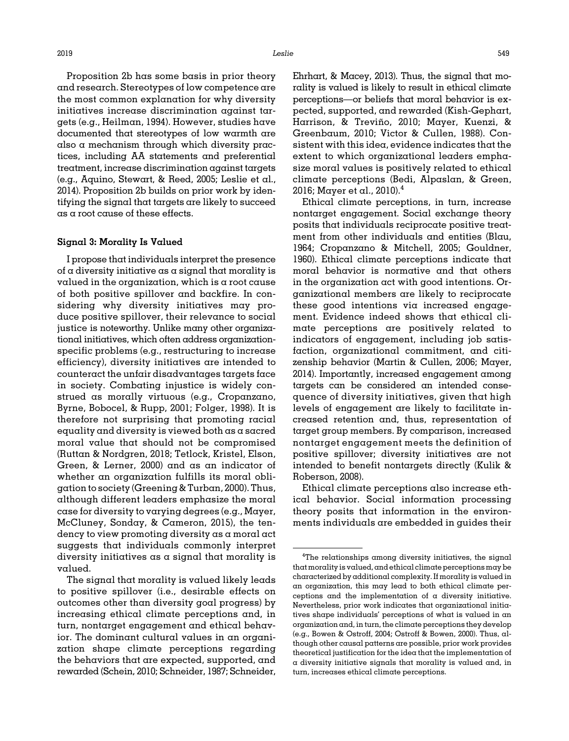Proposition 2b has some basis in prior theory and research. Stereotypes of low competence are the most common explanation for why diversity initiatives increase discrimination against targets (e.g., [Heilman, 1994\)](#page-23-0). However, studies have documented that stereotypes of low warmth are also a mechanism through which diversity practices, including AA statements and preferential treatment, increase discrimination against targets (e.g., [Aquino, Stewart,](#page-21-0) [& Reed, 2005;](#page-21-0) [Leslie et al.,](#page-24-0) [2014](#page-24-0)). Proposition 2b builds on prior work by identifying the signal that targets are likely to succeed as a root cause of these effects.

## Signal 3: Morality Is Valued

I propose that individuals interpret the presence of a diversity initiative as a signal that morality is valued in the organization, which is a root cause of both positive spillover and backfire. In considering why diversity initiatives may produce positive spillover, their relevance to social justice is noteworthy. Unlike many other organizational initiatives, which often address organizationspecific problems (e.g., restructuring to increase efficiency), diversity initiatives are intended to counteract the unfair disadvantages targets face in society. Combating injustice is widely construed as morally virtuous (e.g., [Cropanzano,](#page-22-0) [Byrne, Bobocel,](#page-22-0) & [Rupp, 2001](#page-22-0); [Folger, 1998](#page-22-0)). It is therefore not surprising that promoting racial equality and diversity is viewed both as a sacred moral value that should not be compromised ([Ruttan](#page-25-0) [& Nordgren, 2018](#page-25-0); [Tetlock, Kristel, Elson,](#page-25-0) [Green, & Lerner, 2000](#page-25-0)) and as an indicator of whether an organization fulfills its moral obligation to society [\(Greening](#page-22-0) [& Turban, 2000](#page-22-0)). Thus, although different leaders emphasize the moral case for diversity to varying degrees (e.g., [Mayer,](#page-24-0) [McCluney, Sonday, & Cameron, 2015\)](#page-24-0), the tendency to view promoting diversity as a moral act suggests that individuals commonly interpret diversity initiatives as a signal that morality is valued.

The signal that morality is valued likely leads to positive spillover (i.e., desirable effects on outcomes other than diversity goal progress) by increasing ethical climate perceptions and, in turn, nontarget engagement and ethical behavior. The dominant cultural values in an organization shape climate perceptions regarding the behaviors that are expected, supported, and rewarded [\(Schein, 2010](#page-25-0); [Schneider, 1987; Schneider,](#page-25-0)

[Ehrhart,](#page-25-0) [& Macey, 2013\)](#page-25-0). Thus, the signal that morality is valued is likely to result in ethical climate perceptions—or beliefs that moral behavior is expected, supported, and rewarded [\(Kish-Gephart,](#page-23-0) [Harrison, & Treviño, 2010;](#page-23-0) [Mayer, Kuenzi,](#page-24-0) & [Greenbaum, 2010](#page-24-0); Victor & Cullen, 1988). Consistent with this idea, evidence indicates that the extent to which organizational leaders emphasize moral values is positively related to ethical climate perceptions [\(Bedi, Alpaslan,](#page-21-0) [& Green,](#page-21-0) [2016](#page-21-0); [Mayer et al., 2010](#page-24-0)). $^4$ 

Ethical climate perceptions, in turn, increase nontarget engagement. Social exchange theory posits that individuals reciprocate positive treatment from other individuals and entities [\(Blau,](#page-21-0) [1964;](#page-21-0) [Cropanzano](#page-22-0) [& Mitchell, 2005; Gouldner,](#page-22-0) [1960\)](#page-22-0). Ethical climate perceptions indicate that moral behavior is normative and that others in the organization act with good intentions. Organizational members are likely to reciprocate these good intentions via increased engagement. Evidence indeed shows that ethical climate perceptions are positively related to indicators of engagement, including job satisfaction, organizational commitment, and citizenship behavior [\(Martin & Cullen, 2006](#page-24-0); [Mayer,](#page-24-0) [2014\)](#page-24-0). Importantly, increased engagement among targets can be considered an intended consequence of diversity initiatives, given that high levels of engagement are likely to facilitate increased retention and, thus, representation of target group members. By comparison, increased nontarget engagement meets the definition of positive spillover; diversity initiatives are not intended to benefit nontargets directly [\(Kulik](#page-23-0) & [Roberson, 2008\)](#page-23-0).

Ethical climate perceptions also increase ethical behavior. Social information processing theory posits that information in the environments individuals are embedded in guides their

 $^4$ The relationships among diversity initiatives, the signal that morality is valued, and ethical climate perceptions may be characterized by additional complexity. If morality is valued in an organization, this may lead to both ethical climate perceptions and the implementation of  $\alpha$  diversity initiative. Nevertheless, prior work indicates that organizational initiatives shape individuals' perceptions of what is valued in an organization and, in turn, the climate perceptions they develop (e.g., [Bowen](#page-21-0) [& Ostroff, 2004;](#page-21-0) [Ostroff & Bowen, 2000\)](#page-24-0). Thus, although other causal patterns are possible, prior work provides theoretical justification for the idea that the implementation of a diversity initiative signals that morality is valued and, in turn, increases ethical climate perceptions.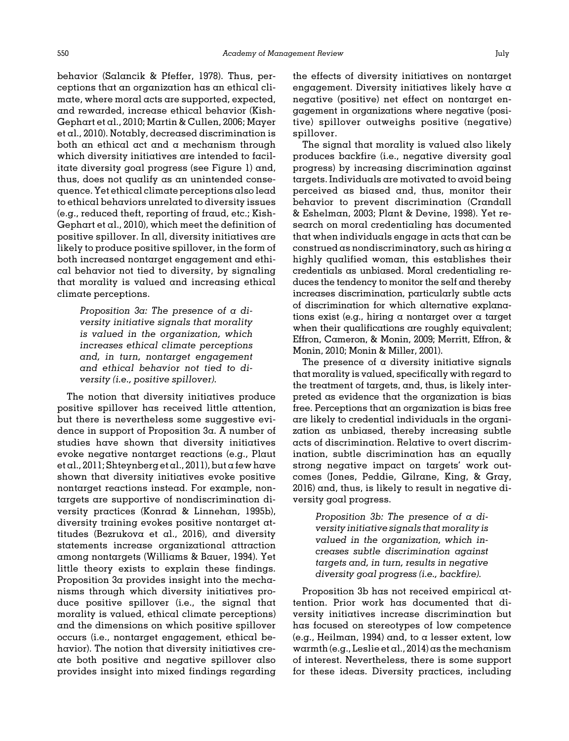behavior ([Salancik & Pfeffer, 1978\)](#page-25-0). Thus, perceptions that an organization has an ethical climate, where moral acts are supported, expected, and rewarded, increase ethical behavior ([Kish-](#page-23-0)[Gephart et al., 2010;](#page-23-0) [Martin](#page-24-0) [& Cullen, 2006](#page-24-0); [Mayer](#page-24-0) [et al., 2010\)](#page-24-0). Notably, decreased discrimination is both an ethical act and a mechanism through which diversity initiatives are intended to facilitate diversity goal progress (see [Figure 1](#page-5-0)) and, thus, does not qualify as an unintended consequence. Yet ethical climate perceptions also lead to ethical behaviors unrelated to diversity issues (e.g., reduced theft, reporting of fraud, etc.; [Kish-](#page-23-0)[Gephart et al., 2010\)](#page-23-0), which meet the definition of positive spillover. In all, diversity initiatives are likely to produce positive spillover, in the form of both increased nontarget engagement and ethical behavior not tied to diversity, by signaling that morality is valued and increasing ethical climate perceptions.

> Proposition 3 $\alpha$ : The presence of  $\alpha$  diversity initiative signals that morality is valued in the organization, which increases ethical climate perceptions and, in turn, nontarget engagement and ethical behavior not tied to diversity (i.e., positive spillover).

The notion that diversity initiatives produce positive spillover has received little attention, but there is nevertheless some suggestive evidence in support of Proposition 3a. A number of studies have shown that diversity initiatives evoke negative nontarget reactions (e.g., [Plaut](#page-24-0) [et al., 2011;](#page-24-0) [Shteynberg et al., 2011](#page-25-0)), but a few have shown that diversity initiatives evoke positive nontarget reactions instead. For example, nontargets are supportive of nondiscrimination diversity practices ([Konrad](#page-23-0) [& Linnehan, 1995b\)](#page-23-0), diversity training evokes positive nontarget attitudes ([Bezrukova et al., 2016](#page-21-0)), and diversity statements increase organizational attraction among nontargets ([Williams & Bauer, 1994\)](#page-25-0). Yet little theory exists to explain these findings. Proposition 3a provides insight into the mechanisms through which diversity initiatives produce positive spillover (i.e., the signal that morality is valued, ethical climate perceptions) and the dimensions on which positive spillover occurs (i.e., nontarget engagement, ethical behavior). The notion that diversity initiatives create both positive and negative spillover also provides insight into mixed findings regarding the effects of diversity initiatives on nontarget engagement. Diversity initiatives likely have a negative (positive) net effect on nontarget engagement in organizations where negative (positive) spillover outweighs positive (negative) spillover.

The signal that morality is valued also likely produces backfire (i.e., negative diversity goal progress) by increasing discrimination against targets. Individuals are motivated to avoid being perceived as biased and, thus, monitor their behavior to prevent discrimination [\(Crandall](#page-22-0) [& Eshelman, 2003;](#page-22-0) [Plant & Devine, 1998\)](#page-24-0). Yet research on moral credentialing has documented that when individuals engage in acts that can be construed as nondiscriminatory, such as hiring a highly qualified woman, this establishes their credentials as unbiased. Moral credentialing reduces the tendency to monitor the self and thereby increases discrimination, particularly subtle acts of discrimination for which alternative explanations exist (e.g., hiring a nontarget over a target when their qualifications are roughly equivalent; [Effron, Cameron,](#page-22-0) [& Monin, 2009;](#page-22-0) [Merritt, Effron,](#page-24-0) & [Monin, 2010; Monin](#page-24-0) [& Miller, 2001](#page-24-0)).

The presence of a diversity initiative signals that morality is valued, specifically with regard to the treatment of targets, and, thus, is likely interpreted as evidence that the organization is bias free. Perceptions that an organization is bias free are likely to credential individuals in the organization as unbiased, thereby increasing subtle acts of discrimination. Relative to overt discrimination, subtle discrimination has an equally strong negative impact on targets' work outcomes ([Jones, Peddie, Gilrane, King, & Gray,](#page-23-0) [2016](#page-23-0)) and, thus, is likely to result in negative diversity goal progress.

> Proposition 3b: The presence of  $\alpha$  diversity initiative signals that morality is valued in the organization, which increases subtle discrimination against targets and, in turn, results in negative diversity goal progress (i.e., backfire).

Proposition 3b has not received empirical attention. Prior work has documented that diversity initiatives increase discrimination but has focused on stereotypes of low competence (e.g., [Heilman, 1994](#page-23-0)) and, to a lesser extent, low warmth (e.g., [Leslie et al., 2014](#page-24-0)) as the mechanism of interest. Nevertheless, there is some support for these ideas. Diversity practices, including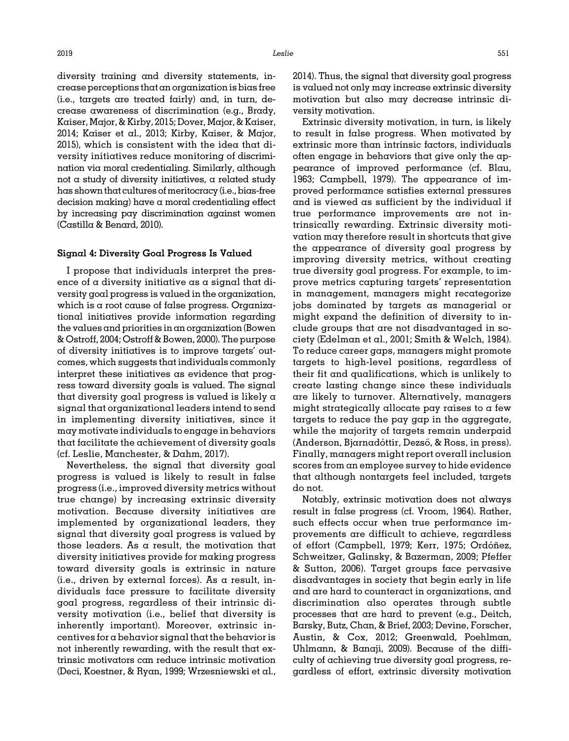diversity training and diversity statements, increase perceptions that an organization is bias free (i.e., targets are treated fairly) and, in turn, decrease awareness of discrimination (e.g., [Brady,](#page-21-0) [Kaiser, Major,](#page-21-0) [& Kirby, 2015](#page-21-0); [Dover, Major,](#page-22-0) [& Kaiser,](#page-22-0) [2014](#page-22-0); [Kaiser et al., 2013; Kirby, Kaiser,](#page-23-0) [& Major,](#page-23-0) [2015](#page-23-0)), which is consistent with the idea that diversity initiatives reduce monitoring of discrimination via moral credentialing. Similarly, although not a study of diversity initiatives, a related study has shown that cultures of meritocracy (i.e., bias-free decision making) have a moral credentialing effect by increasing pay discrimination against women [\(Castilla & Benard, 2010\)](#page-22-0).

## Signal 4: Diversity Goal Progress Is Valued

I propose that individuals interpret the presence of a diversity initiative as a signal that diversity goal progress is valued in the organization, which is a root cause of false progress. Organizational initiatives provide information regarding the values and priorities in an organization [\(Bowen](#page-21-0) & [Ostroff, 2004;](#page-21-0) [Ostroff & Bowen, 2000\)](#page-24-0). The purpose of diversity initiatives is to improve targets' outcomes, which suggests that individuals commonly interpret these initiatives as evidence that progress toward diversity goals is valued. The signal that diversity goal progress is valued is likely a signal that organizational leaders intend to send in implementing diversity initiatives, since it may motivate individuals to engage in behaviors that facilitate the achievement of diversity goals (cf. [Leslie, Manchester, & Dahm, 2017](#page-24-0)).

Nevertheless, the signal that diversity goal progress is valued is likely to result in false progress (i.e., improved diversity metrics without true change) by increasing extrinsic diversity motivation. Because diversity initiatives are implemented by organizational leaders, they signal that diversity goal progress is valued by those leaders. As a result, the motivation that diversity initiatives provide for making progress toward diversity goals is extrinsic in nature  $(i.e., driven by external forces).$  As a result, individuals face pressure to facilitate diversity goal progress, regardless of their intrinsic diversity motivation (i.e., belief that diversity is inherently important). Moreover, extrinsic incentives for a behavior signal that the behavior is not inherently rewarding, with the result that extrinsic motivators can reduce intrinsic motivation [\(Deci, Koestner,](#page-22-0) [& Ryan, 1999](#page-22-0); [Wrzesniewski et al.,](#page-25-0)

[2014\)](#page-25-0). Thus, the signal that diversity goal progress is valued not only may increase extrinsic diversity motivation but also may decrease intrinsic diversity motivation.

Extrinsic diversity motivation, in turn, is likely to result in false progress. When motivated by extrinsic more than intrinsic factors, individuals often engage in behaviors that give only the appearance of improved performance (cf. [Blau,](#page-21-0) [1963;](#page-21-0) [Campbell, 1979\)](#page-22-0). The appearance of improved performance satisfies external pressures and is viewed as sufficient by the individual if true performance improvements are not intrinsically rewarding. Extrinsic diversity motivation may therefore result in shortcuts that give the appearance of diversity goal progress by improving diversity metrics, without creating true diversity goal progress. For example, to improve metrics capturing targets' representation in management, managers might recategorize jobs dominated by targets as managerial or might expand the definition of diversity to include groups that are not disadvantaged in society [\(Edelman et al., 2001](#page-22-0); [Smith](#page-25-0) & [Welch, 1984\)](#page-25-0). To reduce career gaps, managers might promote targets to high-level positions, regardless of their fit and qualifications, which is unlikely to create lasting change since these individuals are likely to turnover. Alternatively, managers might strategically allocate pay raises to a few targets to reduce the pay gap in the aggregate, while the majority of targets remain underpaid ([Anderson, Bjarnad](#page-21-0)ó[ttir, Dezs](#page-21-0)ő, [& Ross, in press\)](#page-21-0). Finally, managers might report overall inclusion scores from an employee survey to hide evidence that although nontargets feel included, targets do not.

Notably, extrinsic motivation does not always result in false progress (cf. [Vroom, 1964](#page-25-0)). Rather, such effects occur when true performance improvements are difficult to achieve, regardless of effort ([Campbell, 1979](#page-22-0); [Kerr, 1975;](#page-23-0) [Ord](#page-24-0)o[ñez,](#page-24-0) ´ [Schweitzer, Galinsky,](#page-24-0) [& Bazerman, 2009](#page-24-0); [Pfeffer](#page-24-0) [& Sutton, 2006\)](#page-24-0). Target groups face pervasive disadvantages in society that begin early in life and are hard to counteract in organizations, and discrimination also operates through subtle processes that are hard to prevent (e.g., [Deitch,](#page-22-0) [Barsky, Butz, Chan, & Brief, 2003](#page-22-0); [Devine, Forscher,](#page-22-0) [Austin, & Cox, 2012; Greenwald, Poehlman,](#page-22-0) [Uhlmann,](#page-22-0) [& Banaji, 2009](#page-22-0)). Because of the difficulty of achieving true diversity goal progress, regardless of effort, extrinsic diversity motivation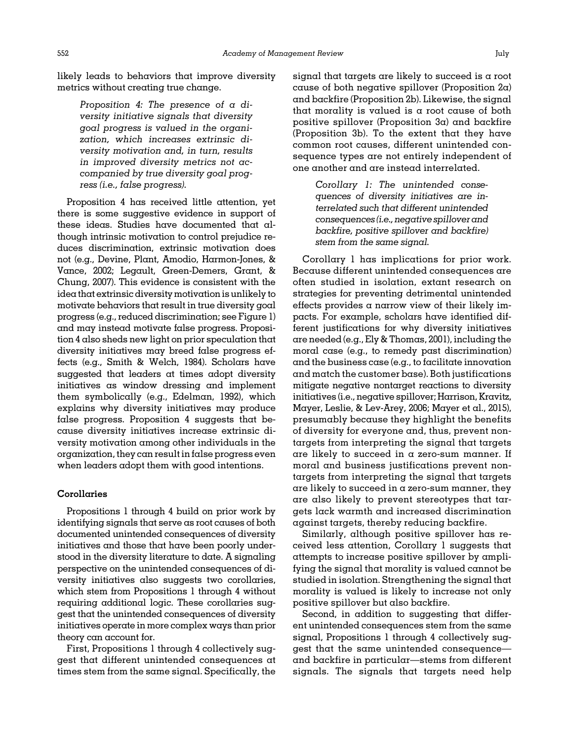likely leads to behaviors that improve diversity metrics without creating true change.

> Proposition 4: The presence of  $\alpha$  diversity initiative signals that diversity goal progress is valued in the organization, which increases extrinsic diversity motivation and, in turn, results in improved diversity metrics not accompanied by true diversity goal progress (i.e., false progress).

Proposition 4 has received little attention, yet there is some suggestive evidence in support of these ideas. Studies have documented that although intrinsic motivation to control prejudice reduces discrimination, extrinsic motivation does not (e.g., [Devine, Plant, Amodio, Harmon-Jones, &](#page-22-0) [Vance, 2002;](#page-22-0) [Legault, Green-Demers, Grant, &](#page-24-0) [Chung, 2007](#page-24-0)). This evidence is consistent with the idea that extrinsic diversitymotivation is unlikely to motivate behaviors that result in true diversity goal progress (e.g., reduced discrimination; see [Figure 1](#page-5-0)) and may instead motivate false progress. Proposition 4 also sheds new light on prior speculation that diversity initiatives may breed false progress effects (e.g., [Smith & Welch, 1984](#page-25-0)). Scholars have suggested that leaders at times adopt diversity initiatives as window dressing and implement them symbolically (e.g., [Edelman, 1992](#page-22-0)), which explains why diversity initiatives may produce false progress. Proposition 4 suggests that because diversity initiatives increase extrinsic diversity motivation among other individuals in the organization, they can result in false progress even when leaders adopt them with good intentions.

#### Corollaries

Propositions 1 through 4 build on prior work by identifying signals that serve as root causes of both documented unintended consequences of diversity initiatives and those that have been poorly understood in the diversity literature to date. A signaling perspective on the unintended consequences of diversity initiatives also suggests two corollaries, which stem from Propositions 1 through 4 without requiring additional logic. These corollaries suggest that the unintended consequences of diversity initiatives operate in more complex ways than prior theory can account for.

First, Propositions 1 through 4 collectively suggest that different unintended consequences at times stem from the same signal. Specifically, the signal that targets are likely to succeed is a root cause of both negative spillover (Proposition 2a) and backfire (Proposition 2b). Likewise, the signal that morality is valued is a root cause of both positive spillover (Proposition 3a) and backfire (Proposition 3b). To the extent that they have common root causes, different unintended consequence types are not entirely independent of one another and are instead interrelated.

> Corollary 1: The unintended consequences of diversity initiatives are interrelated such that different unintended consequences (i.e., negative spillover and backfire, positive spillover and backfire) stem from the same signal.

Corollary 1 has implications for prior work. Because different unintended consequences are often studied in isolation, extant research on strategies for preventing detrimental unintended effects provides a narrow view of their likely impacts. For example, scholars have identified different justifications for why diversity initiatives are needed (e.g., [Ely & Thomas, 2001](#page-22-0)), including the moral case (e.g., to remedy past discrimination) and the business case (e.g., to facilitate innovation and match the customer base). Both justifications mitigate negative nontarget reactions to diversity initiatives (i.e., negative spillover; [Harrison, Kravitz,](#page-23-0) [Mayer, Leslie, & Lev-Arey, 2006](#page-23-0); [Mayer et al., 2015](#page-24-0)), presumably because they highlight the benefits of diversity for everyone and, thus, prevent nontargets from interpreting the signal that targets are likely to succeed in a zero-sum manner. If moral and business justifications prevent nontargets from interpreting the signal that targets are likely to succeed in a zero-sum manner, they are also likely to prevent stereotypes that targets lack warmth and increased discrimination against targets, thereby reducing backfire.

Similarly, although positive spillover has received less attention, Corollary 1 suggests that attempts to increase positive spillover by amplifying the signal that morality is valued cannot be studied in isolation. Strengthening the signal that morality is valued is likely to increase not only positive spillover but also backfire.

Second, in addition to suggesting that different unintended consequences stem from the same signal, Propositions 1 through 4 collectively suggest that the same unintended consequence and backfire in particular—stems from different signals. The signals that targets need help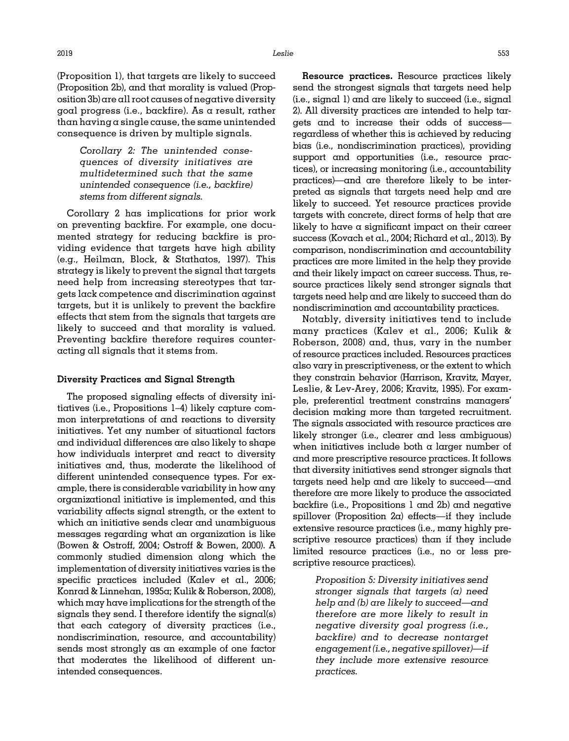(Proposition 1), that targets are likely to succeed (Proposition 2b), and that morality is valued (Proposition 3b) are all root causes of negative diversity goal progress (i.e., backfire). As a result, rather than having a single cause, the same unintended consequence is driven by multiple signals.

> Corollary 2: The unintended consequences of diversity initiatives are multidetermined such that the same unintended consequence (i.e., backfire) stems from different signals.

Corollary 2 has implications for prior work on preventing backfire. For example, one documented strategy for reducing backfire is providing evidence that targets have high ability (e.g., [Heilman, Block,](#page-23-0) [& Stathatos, 1997](#page-23-0)). This strategy is likely to prevent the signal that targets need help from increasing stereotypes that targets lack competence and discrimination against targets, but it is unlikely to prevent the backfire effects that stem from the signals that targets are likely to succeed and that morality is valued. Preventing backfire therefore requires counteracting all signals that it stems from.

#### Diversity Practices and Signal Strength

The proposed signaling effects of diversity initiatives (i.e., Propositions 1–4) likely capture common interpretations of and reactions to diversity initiatives. Yet any number of situational factors and individual differences are also likely to shape how individuals interpret and react to diversity initiatives and, thus, moderate the likelihood of different unintended consequence types. For example, there is considerable variability in how any organizational initiative is implemented, and this variability affects signal strength, or the extent to which an initiative sends clear and unambiguous messages regarding what an organization is like [\(Bowen & Ostroff, 2004](#page-21-0); [Ostroff](#page-24-0) [& Bowen, 2000](#page-24-0)). A commonly studied dimension along which the implementation of diversity initiatives varies is the specific practices included [\(Kalev et al., 2006;](#page-23-0) [Konrad & Linnehan, 1995a; Kulik](#page-23-0) [& Roberson, 2008\)](#page-23-0), which may have implications for the strength of the signals they send. I therefore identify the signal(s) that each category of diversity practices (i.e., nondiscrimination, resource, and accountability) sends most strongly as an example of one factor that moderates the likelihood of different unintended consequences.

Resource practices. Resource practices likely send the strongest signals that targets need help (i.e., signal 1) and are likely to succeed (i.e., signal 2). All diversity practices are intended to help targets and to increase their odds of success regardless of whether this is achieved by reducing bias (i.e., nondiscrimination practices), providing support and opportunities (i.e., resource practices), or increasing monitoring (i.e., accountability practices)—and are therefore likely to be interpreted as signals that targets need help and are likely to succeed. Yet resource practices provide targets with concrete, direct forms of help that are likely to have a significant impact on their career success [\(Kovach et al., 2004;](#page-23-0) [Richard et al., 2013\)](#page-24-0). By comparison, nondiscrimination and accountability practices are more limited in the help they provide and their likely impact on career success. Thus, resource practices likely send stronger signals that targets need help and are likely to succeed than do nondiscrimination and accountability practices.

Notably, diversity initiatives tend to include many practices ([Kalev et al., 2006; Kulik](#page-23-0) & [Roberson, 2008\)](#page-23-0) and, thus, vary in the number of resource practices included. Resources practices also vary in prescriptiveness, or the extent to which they constrain behavior ([Harrison, Kravitz, Mayer,](#page-23-0) [Leslie,](#page-23-0) [& Lev-Arey, 2006; Kravitz, 1995](#page-23-0)). For example, preferential treatment constrains managers' decision making more than targeted recruitment. The signals associated with resource practices are likely stronger (i.e., clearer and less ambiguous) when initiatives include both  $\alpha$  larger number of and more prescriptive resource practices. It follows that diversity initiatives send stronger signals that targets need help and are likely to succeed—and therefore are more likely to produce the associated backfire (i.e., Propositions 1 and 2b) and negative spillover (Proposition 2a) effects—if they include extensive resource practices (i.e., many highly prescriptive resource practices) than if they include limited resource practices (i.e., no or less prescriptive resource practices).

> Proposition 5: Diversity initiatives send stronger signals that targets  $(a)$  need help and (b) are likely to succeed—and therefore are more likely to result in negative diversity goal progress (i.e., backfire) and to decrease nontarget engagement (i.e., negative spillover)—if they include more extensive resource practices.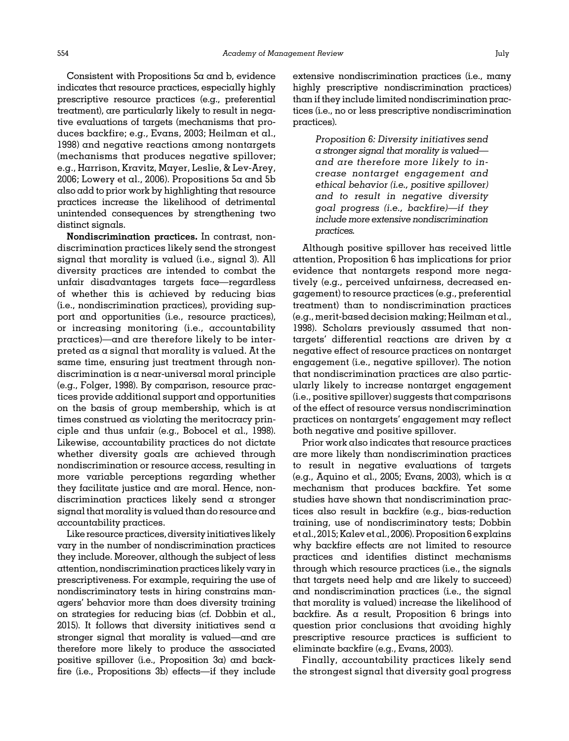Consistent with Propositions 5a and b, evidence indicates that resource practices, especially highly prescriptive resource practices (e.g., preferential treatment), are particularly likely to result in negative evaluations of targets (mechanisms that produces backfire; e.g., [Evans, 2003;](#page-22-0) [Heilman et al.,](#page-23-0) [1998](#page-23-0)) and negative reactions among nontargets (mechanisms that produces negative spillover; e.g., [Harrison, Kravitz, Mayer, Leslie, & Lev-Arey,](#page-23-0) [2006](#page-23-0); [Lowery et al., 2006\)](#page-24-0). Propositions 5a and 5b also add to prior work by highlighting that resource practices increase the likelihood of detrimental unintended consequences by strengthening two distinct signals.

Nondiscrimination practices. In contrast, nondiscrimination practices likely send the strongest signal that morality is valued (i.e., signal 3). All diversity practices are intended to combat the unfair disadvantages targets face—regardless of whether this is achieved by reducing bias (i.e., nondiscrimination practices), providing support and opportunities (i.e., resource practices), or increasing monitoring (i.e., accountability practices)—and are therefore likely to be interpreted as a signal that morality is valued. At the same time, ensuring just treatment through nondiscrimination is a near-universal moral principle (e.g., [Folger, 1998](#page-22-0)). By comparison, resource practices provide additional support and opportunities on the basis of group membership, which is at times construed as violating the meritocracy principle and thus unfair (e.g., [Bobocel et al., 1998\)](#page-21-0). Likewise, accountability practices do not dictate whether diversity goals are achieved through nondiscrimination or resource access, resulting in more variable perceptions regarding whether they facilitate justice and are moral. Hence, nondiscrimination practices likely send a stronger signal that morality is valued than do resource and accountability practices.

Like resource practices, diversity initiatives likely vary in the number of nondiscrimination practices they include. Moreover, although the subject of less attention, nondiscrimination practices likely vary in prescriptiveness. For example, requiring the use of nondiscriminatory tests in hiring constrains managers' behavior more than does diversity training on strategies for reducing bias (cf. [Dobbin et al.,](#page-22-0) [2015\)](#page-22-0). It follows that diversity initiatives send  $\alpha$ stronger signal that morality is valued—and are therefore more likely to produce the associated positive spillover (i.e., Proposition 3a) and backfire (i.e., Propositions 3b) effects—if they include

extensive nondiscrimination practices (i.e., many highly prescriptive nondiscrimination practices) than if they include limited nondiscrimination practices (i.e., no or less prescriptive nondiscrimination practices).

> Proposition 6: Diversity initiatives send a stronger signal that morality is valued and are therefore more likely to increase nontarget engagement and ethical behavior (i.e., positive spillover) and to result in negative diversity goal progress (i.e., backfire)—if they include more extensive nondiscrimination practices.

Although positive spillover has received little attention, Proposition 6 has implications for prior evidence that nontargets respond more negatively (e.g., perceived unfairness, decreased engagement) to resource practices (e.g., preferential treatment) than to nondiscrimination practices (e.g., merit-based decision making; [Heilman et al.,](#page-23-0) [1998\)](#page-23-0). Scholars previously assumed that nontargets' differential reactions are driven by a negative effect of resource practices on nontarget engagement (i.e., negative spillover). The notion that nondiscrimination practices are also particularly likely to increase nontarget engagement (i.e., positive spillover) suggests that comparisons of the effect of resource versus nondiscrimination practices on nontargets' engagement may reflect both negative and positive spillover.

Prior work also indicates that resource practices are more likely than nondiscrimination practices to result in negative evaluations of targets (e.g., [Aquino et al., 2005;](#page-21-0) [Evans, 2003](#page-22-0)), which is a mechanism that produces backfire. Yet some studies have shown that nondiscrimination practices also result in backfire (e.g., bias-reduction training, use of nondiscriminatory tests; [Dobbin](#page-22-0) [et al., 2015;](#page-22-0) [Kalev et al., 2006\)](#page-23-0). Proposition 6 explains why backfire effects are not limited to resource practices and identifies distinct mechanisms through which resource practices (i.e., the signals that targets need help and are likely to succeed) and nondiscrimination practices (i.e., the signal that morality is valued) increase the likelihood of backfire. As a result, Proposition 6 brings into question prior conclusions that avoiding highly prescriptive resource practices is sufficient to eliminate backfire (e.g., [Evans, 2003\)](#page-22-0).

Finally, accountability practices likely send the strongest signal that diversity goal progress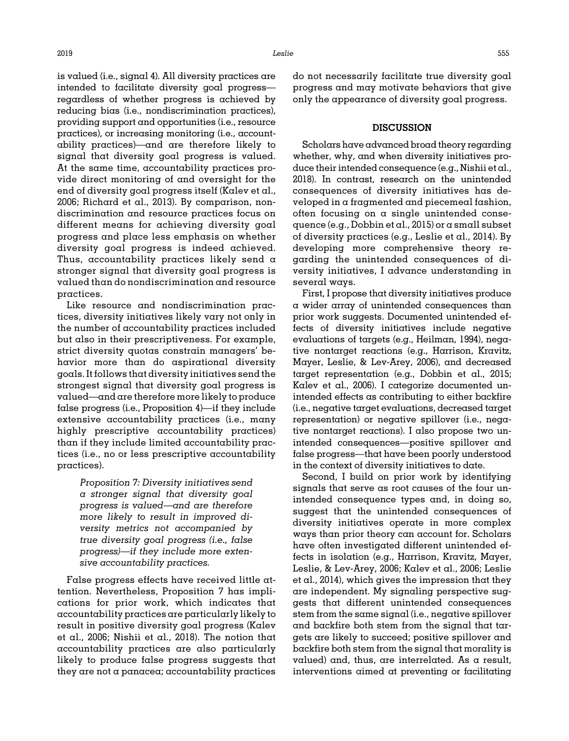is valued (i.e., signal 4). All diversity practices are intended to facilitate diversity goal progress regardless of whether progress is achieved by reducing bias (i.e., nondiscrimination practices), providing support and opportunities (i.e., resource practices), or increasing monitoring (i.e., accountability practices)—and are therefore likely to signal that diversity goal progress is valued. At the same time, accountability practices provide direct monitoring of and oversight for the end of diversity goal progress itself [\(Kalev et al.,](#page-23-0) [2006](#page-23-0); [Richard et al., 2013\)](#page-24-0). By comparison, nondiscrimination and resource practices focus on different means for achieving diversity goal progress and place less emphasis on whether diversity goal progress is indeed achieved. Thus, accountability practices likely send a stronger signal that diversity goal progress is valued than do nondiscrimination and resource practices.

Like resource and nondiscrimination practices, diversity initiatives likely vary not only in the number of accountability practices included but also in their prescriptiveness. For example, strict diversity quotas constrain managers' behavior more than do aspirational diversity goals. It follows that diversity initiatives send the strongest signal that diversity goal progress is valued—and are therefore more likely to produce false progress (i.e., Proposition 4)—if they include extensive accountability practices (i.e., many highly prescriptive accountability practices) than if they include limited accountability practices (i.e., no or less prescriptive accountability practices).

> Proposition 7: Diversity initiatives send a stronger signal that diversity goal progress is valued—and are therefore more likely to result in improved diversity metrics not accompanied by true diversity goal progress (i.e., false progress)—if they include more extensive accountability practices.

False progress effects have received little attention. Nevertheless, Proposition 7 has implications for prior work, which indicates that accountability practices are particularly likely to result in positive diversity goal progress ([Kalev](#page-23-0) [et al., 2006;](#page-23-0) [Nishii et al., 2018](#page-24-0)). The notion that accountability practices are also particularly likely to produce false progress suggests that they are not a panacea; accountability practices

do not necessarily facilitate true diversity goal progress and may motivate behaviors that give only the appearance of diversity goal progress.

#### DISCUSSION

Scholars have advanced broad theory regarding whether, why, and when diversity initiatives produce their intended consequence (e.g., [Nishii et al.,](#page-24-0) [2018\)](#page-24-0). In contrast, research on the unintended consequences of diversity initiatives has developed in a fragmented and piecemeal fashion, often focusing on a single unintended consequence (e.g., [Dobbin et al., 2015](#page-22-0)) or a small subset of diversity practices (e.g., [Leslie et al., 2014](#page-24-0)). By developing more comprehensive theory regarding the unintended consequences of diversity initiatives, I advance understanding in several ways.

First, I propose that diversity initiatives produce a wider array of unintended consequences than prior work suggests. Documented unintended effects of diversity initiatives include negative evaluations of targets (e.g., [Heilman, 1994\)](#page-23-0), negative nontarget reactions (e.g., [Harrison, Kravitz,](#page-23-0) [Mayer, Leslie,](#page-23-0) [& Lev-Arey, 2006](#page-23-0)), and decreased target representation (e.g., [Dobbin et al., 2015;](#page-22-0) [Kalev et al., 2006](#page-23-0)). I categorize documented unintended effects as contributing to either backfire (i.e., negative target evaluations, decreased target representation) or negative spillover (i.e., negative nontarget reactions). I also propose two unintended consequences—positive spillover and false progress—that have been poorly understood in the context of diversity initiatives to date.

Second, I build on prior work by identifying signals that serve as root causes of the four unintended consequence types and, in doing so, suggest that the unintended consequences of diversity initiatives operate in more complex ways than prior theory can account for. Scholars have often investigated different unintended effects in isolation (e.g., [Harrison, Kravitz, Mayer,](#page-23-0) [Leslie,](#page-23-0) & [Lev-Arey, 2006; Kalev et al., 2006;](#page-23-0) [Leslie](#page-24-0) [et al., 2014](#page-24-0)), which gives the impression that they are independent. My signaling perspective suggests that different unintended consequences stem from the same signal (i.e., negative spillover and backfire both stem from the signal that targets are likely to succeed; positive spillover and backfire both stem from the signal that morality is valued) and, thus, are interrelated. As a result, interventions aimed at preventing or facilitating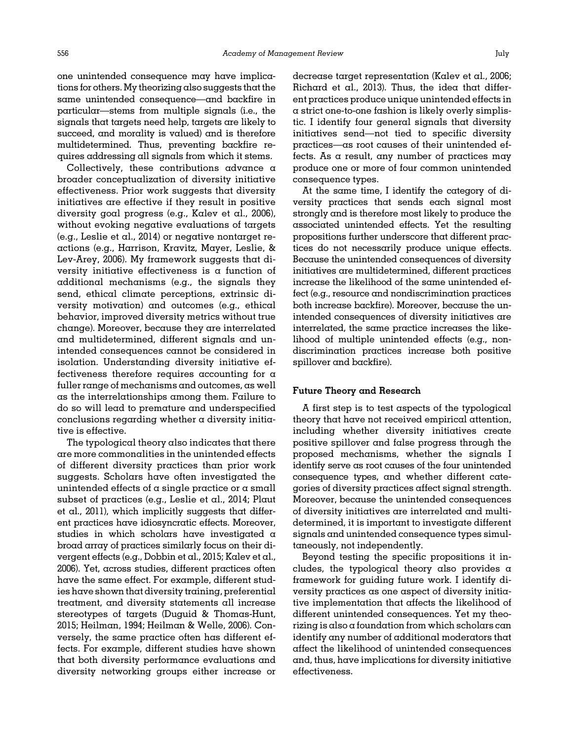one unintended consequence may have implications for others. My theorizing also suggests that the same unintended consequence—and backfire in particular—stems from multiple signals (i.e., the signals that targets need help, targets are likely to succeed, and morality is valued) and is therefore multidetermined. Thus, preventing backfire requires addressing all signals from which it stems.

Collectively, these contributions advance a broader conceptualization of diversity initiative effectiveness. Prior work suggests that diversity initiatives are effective if they result in positive diversity goal progress (e.g., [Kalev et al., 2006\)](#page-23-0), without evoking negative evaluations of targets (e.g., [Leslie et al., 2014\)](#page-24-0) or negative nontarget reactions (e.g., [Harrison, Kravitz, Mayer, Leslie, &](#page-23-0) [Lev-Arey, 2006\)](#page-23-0). My framework suggests that diversity initiative effectiveness is a function of additional mechanisms (e.g., the signals they send, ethical climate perceptions, extrinsic diversity motivation) and outcomes (e.g., ethical behavior, improved diversity metrics without true change). Moreover, because they are interrelated and multidetermined, different signals and unintended consequences cannot be considered in isolation. Understanding diversity initiative effectiveness therefore requires accounting for a fuller range of mechanisms and outcomes, as well as the interrelationships among them. Failure to do so will lead to premature and underspecified conclusions regarding whether a diversity initiative is effective.

The typological theory also indicates that there are more commonalities in the unintended effects of different diversity practices than prior work suggests. Scholars have often investigated the unintended effects of  $\alpha$  single practice or  $\alpha$  small subset of practices (e.g., [Leslie et al., 2014](#page-24-0); [Plaut](#page-24-0) [et al., 2011\)](#page-24-0), which implicitly suggests that different practices have idiosyncratic effects. Moreover, studies in which scholars have investigated a broad array of practices similarly focus on their divergent effects (e.g., [Dobbin et al., 2015](#page-22-0); [Kalev et al.,](#page-23-0) [2006\)](#page-23-0). Yet, across studies, different practices often have the same effect. For example, different studies have shown that diversity training, preferential treatment, and diversity statements all increase stereotypes of targets ([Duguid](#page-22-0) [& Thomas-Hunt,](#page-22-0) [2015](#page-22-0); [Heilman, 1994; Heilman](#page-23-0) [& Welle, 2006](#page-23-0)). Conversely, the same practice often has different effects. For example, different studies have shown that both diversity performance evaluations and diversity networking groups either increase or

decrease target representation [\(Kalev et al., 2006;](#page-23-0) [Richard et al., 2013\)](#page-24-0). Thus, the idea that different practices produce unique unintended effects in a strict one-to-one fashion is likely overly simplistic. I identify four general signals that diversity initiatives send—not tied to specific diversity practices—as root causes of their unintended effects. As a result, any number of practices may produce one or more of four common unintended consequence types.

At the same time, I identify the category of diversity practices that sends each signal most strongly and is therefore most likely to produce the associated unintended effects. Yet the resulting propositions further underscore that different practices do not necessarily produce unique effects. Because the unintended consequences of diversity initiatives are multidetermined, different practices increase the likelihood of the same unintended effect (e.g., resource and nondiscrimination practices both increase backfire). Moreover, because the unintended consequences of diversity initiatives are interrelated, the same practice increases the likelihood of multiple unintended effects (e.g., nondiscrimination practices increase both positive spillover and backfire).

## Future Theory and Research

A first step is to test aspects of the typological theory that have not received empirical attention, including whether diversity initiatives create positive spillover and false progress through the proposed mechanisms, whether the signals I identify serve as root causes of the four unintended consequence types, and whether different categories of diversity practices affect signal strength. Moreover, because the unintended consequences of diversity initiatives are interrelated and multidetermined, it is important to investigate different signals and unintended consequence types simultaneously, not independently.

Beyond testing the specific propositions it includes, the typological theory also provides a framework for guiding future work. I identify diversity practices as one aspect of diversity initiative implementation that affects the likelihood of different unintended consequences. Yet my theorizing is also a foundation from which scholars can identify any number of additional moderators that affect the likelihood of unintended consequences and, thus, have implications for diversity initiative effectiveness.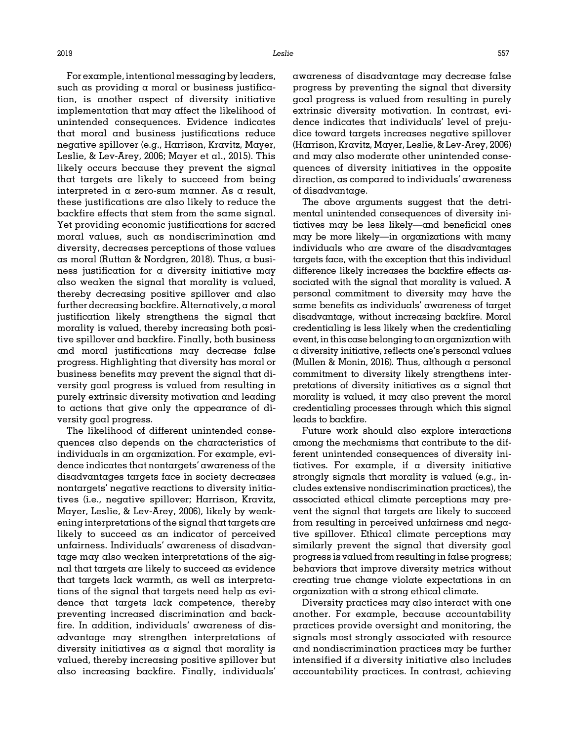For example, intentional messaging by leaders, such as providing a moral or business justification, is another aspect of diversity initiative implementation that may affect the likelihood of unintended consequences. Evidence indicates that moral and business justifications reduce negative spillover (e.g., [Harrison, Kravitz, Mayer,](#page-23-0) [Leslie,](#page-23-0) [& Lev-Arey, 2006;](#page-23-0) [Mayer et al., 2015](#page-24-0)). This likely occurs because they prevent the signal that targets are likely to succeed from being interpreted in a zero-sum manner. As a result, these justifications are also likely to reduce the backfire effects that stem from the same signal. Yet providing economic justifications for sacred moral values, such as nondiscrimination and diversity, decreases perceptions of those values as moral ([Ruttan](#page-25-0) & [Nordgren, 2018](#page-25-0)). Thus, a business justification for a diversity initiative may also weaken the signal that morality is valued, thereby decreasing positive spillover and also further decreasing backfire. Alternatively, a moral justification likely strengthens the signal that morality is valued, thereby increasing both positive spillover and backfire. Finally, both business and moral justifications may decrease false progress. Highlighting that diversity has moral or business benefits may prevent the signal that diversity goal progress is valued from resulting in purely extrinsic diversity motivation and leading to actions that give only the appearance of diversity goal progress.

The likelihood of different unintended consequences also depends on the characteristics of individuals in an organization. For example, evidence indicates that nontargets' awareness of the disadvantages targets face in society decreases nontargets' negative reactions to diversity initiatives (i.e., negative spillover; [Harrison, Kravitz,](#page-23-0) [Mayer, Leslie, & Lev-Arey, 2006\)](#page-23-0), likely by weakening interpretations of the signal that targets are likely to succeed as an indicator of perceived unfairness. Individuals' awareness of disadvantage may also weaken interpretations of the signal that targets are likely to succeed as evidence that targets lack warmth, as well as interpretations of the signal that targets need help as evidence that targets lack competence, thereby preventing increased discrimination and backfire. In addition, individuals' awareness of disadvantage may strengthen interpretations of diversity initiatives as a signal that morality is valued, thereby increasing positive spillover but also increasing backfire. Finally, individuals'

awareness of disadvantage may decrease false progress by preventing the signal that diversity goal progress is valued from resulting in purely extrinsic diversity motivation. In contrast, evidence indicates that individuals' level of prejudice toward targets increases negative spillover ([Harrison, Kravitz, Mayer, Leslie, & Lev-Arey, 2006](#page-23-0)) and may also moderate other unintended consequences of diversity initiatives in the opposite direction, as compared to individuals' awareness of disadvantage.

The above arguments suggest that the detrimental unintended consequences of diversity initiatives may be less likely—and beneficial ones may be more likely—in organizations with many individuals who are aware of the disadvantages targets face, with the exception that this individual difference likely increases the backfire effects associated with the signal that morality is valued. A personal commitment to diversity may have the same benefits as individuals' awareness of target disadvantage, without increasing backfire. Moral credentialing is less likely when the credentialing  $event$ , in this case belonging to an organization with a diversity initiative, reflects one's personal values [\(Mullen](#page-24-0) [& Monin, 2016\)](#page-24-0). Thus, although a personal commitment to diversity likely strengthens interpretations of diversity initiatives as a signal that morality is valued, it may also prevent the moral credentialing processes through which this signal leads to backfire.

Future work should also explore interactions among the mechanisms that contribute to the different unintended consequences of diversity initiatives. For example, if a diversity initiative strongly signals that morality is valued (e.g., includes extensive nondiscrimination practices), the associated ethical climate perceptions may prevent the signal that targets are likely to succeed from resulting in perceived unfairness and negative spillover. Ethical climate perceptions may similarly prevent the signal that diversity goal progress is valued from resulting in false progress; behaviors that improve diversity metrics without creating true change violate expectations in an organization with a strong ethical climate.

Diversity practices may also interact with one another. For example, because accountability practices provide oversight and monitoring, the signals most strongly associated with resource and nondiscrimination practices may be further intensified if  $\alpha$  diversity initiative also includes accountability practices. In contrast, achieving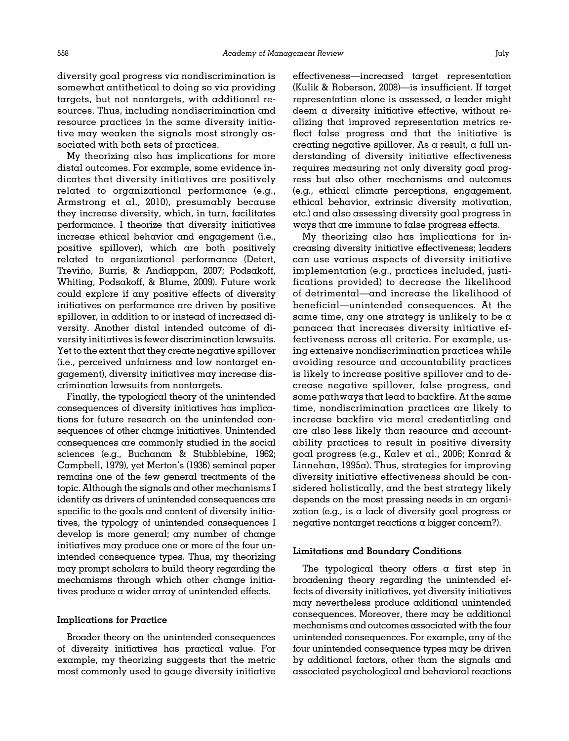diversity goal progress via nondiscrimination is somewhat antithetical to doing so via providing targets, but not nontargets, with additional resources. Thus, including nondiscrimination and resource practices in the same diversity initiative may weaken the signals most strongly associated with both sets of practices.

My theorizing also has implications for more distal outcomes. For example, some evidence indicates that diversity initiatives are positively related to organizational performance (e.g., [Armstrong et al., 2010\)](#page-21-0), presumably because they increase diversity, which, in turn, facilitates performance. I theorize that diversity initiatives increase ethical behavior and engagement (i.e., positive spillover), which are both positively related to organizational performance ([Detert,](#page-22-0) [Treviño, Burris,](#page-22-0) [& Andiappan, 2007;](#page-22-0) [Podsakoff,](#page-24-0) [Whiting, Podsakoff,](#page-24-0) [& Blume, 2009\)](#page-24-0). Future work could explore if any positive effects of diversity initiatives on performance are driven by positive spillover, in addition to or instead of increased diversity. Another distal intended outcome of diversity initiatives is fewer discrimination lawsuits. Yet to the extent that they create negative spillover (i.e., perceived unfairness and low nontarget engagement), diversity initiatives may increase discrimination lawsuits from nontargets.

Finally, the typological theory of the unintended consequences of diversity initiatives has implications for future research on the unintended consequences of other change initiatives. Unintended consequences are commonly studied in the social sciences (e.g., [Buchanan](#page-22-0) [& Stubblebine, 1962;](#page-22-0) [Campbell, 1979](#page-22-0)), yet [Merton](#page-24-0)'s (1936) seminal paper remains one of the few general treatments of the topic. Although the signals and other mechanisms I identify as drivers of unintended consequences are specific to the goals and content of diversity initiatives, the typology of unintended consequences I develop is more general; any number of change initiatives may produce one or more of the four unintended consequence types. Thus, my theorizing may prompt scholars to build theory regarding the mechanisms through which other change initiatives produce a wider array of unintended effects.

#### Implications for Practice

Broader theory on the unintended consequences of diversity initiatives has practical value. For example, my theorizing suggests that the metric most commonly used to gauge diversity initiative effectiveness—increased target representation ([Kulik](#page-23-0) [& Roberson, 2008\)](#page-23-0)—is insufficient. If target representation alone is assessed, a leader might deem a diversity initiative effective, without realizing that improved representation metrics reflect false progress and that the initiative is creating negative spillover. As a result, a full understanding of diversity initiative effectiveness requires measuring not only diversity goal progress but also other mechanisms and outcomes (e.g., ethical climate perceptions, engagement, ethical behavior, extrinsic diversity motivation, etc.) and also assessing diversity goal progress in ways that are immune to false progress effects.

My theorizing also has implications for increasing diversity initiative effectiveness; leaders can use various aspects of diversity initiative implementation (e.g., practices included, justifications provided) to decrease the likelihood of detrimental—and increase the likelihood of beneficial—unintended consequences. At the same time, any one strategy is unlikely to be a panacea that increases diversity initiative effectiveness across all criteria. For example, using extensive nondiscrimination practices while avoiding resource and accountability practices is likely to increase positive spillover and to decrease negative spillover, false progress, and some pathways that lead to backfire. At the same time, nondiscrimination practices are likely to increase backfire via moral credentialing and are also less likely than resource and accountability practices to result in positive diversity goal progress (e.g., [Kalev et al., 2006; Konrad](#page-23-0) & [Linnehan, 1995a\)](#page-23-0). Thus, strategies for improving diversity initiative effectiveness should be considered holistically, and the best strategy likely depends on the most pressing needs in an organization (e.g., is a lack of diversity goal progress or negative nontarget reactions a bigger concern?).

#### Limitations and Boundary Conditions

The typological theory offers a first step in broadening theory regarding the unintended effects of diversity initiatives, yet diversity initiatives may nevertheless produce additional unintended consequences. Moreover, there may be additional mechanisms and outcomes associated with the four unintended consequences. For example, any of the four unintended consequence types may be driven by additional factors, other than the signals and associated psychological and behavioral reactions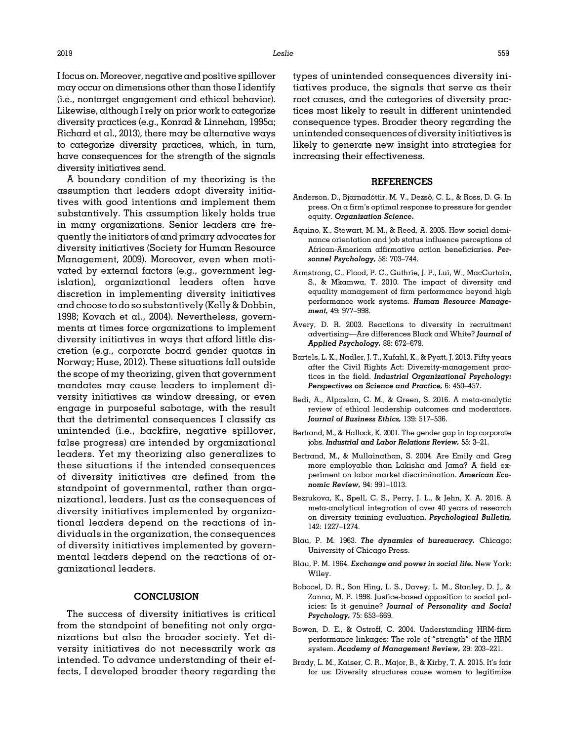<span id="page-21-0"></span>2019 Leslie 559

I focus on.Moreover, negative and positive spillover may occur on dimensions other than those I identify (i.e., nontarget engagement and ethical behavior). Likewise, although I rely on prior work to categorize diversity practices (e.g., [Konrad & Linnehan, 1995a;](#page-23-0) [Richard et al., 2013\)](#page-24-0), there may be alternative ways to categorize diversity practices, which, in turn, have consequences for the strength of the signals diversity initiatives send.

A boundary condition of my theorizing is the assumption that leaders adopt diversity initiatives with good intentions and implement them substantively. This assumption likely holds true in many organizations. Senior leaders are frequently the initiators of and primary advocates for diversity initiatives [\(Society for Human Resource](#page-25-0) [Management, 2009](#page-25-0)). Moreover, even when motivated by external factors (e.g., government legislation), organizational leaders often have discretion in implementing diversity initiatives and choose to do so substantively [\(Kelly & Dobbin,](#page-23-0) [1998; Kovach et al., 2004\)](#page-23-0). Nevertheless, governments at times force organizations to implement diversity initiatives in ways that afford little discretion (e.g., corporate board gender quotas in Norway; [Huse, 2012](#page-23-0)). These situations fall outside the scope of my theorizing, given that government mandates may cause leaders to implement diversity initiatives as window dressing, or even engage in purposeful sabotage, with the result that the detrimental consequences I classify as unintended (i.e., backfire, negative spillover, false progress) are intended by organizational leaders. Yet my theorizing also generalizes to these situations if the intended consequences of diversity initiatives are defined from the standpoint of governmental, rather than organizational, leaders. Just as the consequences of diversity initiatives implemented by organizational leaders depend on the reactions of individuals in the organization, the consequences of diversity initiatives implemented by governmental leaders depend on the reactions of organizational leaders.

## **CONCLUSION**

The success of diversity initiatives is critical from the standpoint of benefiting not only organizations but also the broader society. Yet diversity initiatives do not necessarily work as intended. To advance understanding of their effects, I developed broader theory regarding the

types of unintended consequences diversity initiatives produce, the signals that serve as their root causes, and the categories of diversity practices most likely to result in different unintended consequence types. Broader theory regarding the unintended consequences of diversity initiatives is likely to generate new insight into strategies for increasing their effectiveness.

# **REFERENCES**

- Anderson, D., Bjarnadóttir, M. V., Dezső, C. L., & Ross, D. G. In press. On a firm's optimal response to pressure for gender equity. Organization Science.
- Aquino, K., Stewart, M. M., & Reed, A. 2005. How social dominance orientation and job status influence perceptions of African-American affirmative action beneficiaries. Personnel Psychology, 58: 703–744.
- Armstrong, C., Flood, P. C., Guthrie, J. P., Lui, W., MacCurtain, S., & Mkamwa, T. 2010. The impact of diversity and equality management of firm performance beyond high performance work systems. Human Resource Management, 49: 977–998.
- Avery, D. R. 2003. Reactions to diversity in recruitment advertising—Are differences Black and White? Journal of Applied Psychology, 88: 672–679.
- Bartels, L. K., Nadler, J. T., Kufahl, K., & Pyatt, J. 2013. Fifty years after the Civil Rights Act: Diversity-management practices in the field. Industrial Organizational Psychology: Perspectives on Science and Practice, 6: 450–457.
- Bedi, A., Alpaslan, C. M., & Green, S. 2016. A meta-analytic review of ethical leadership outcomes and moderators. Journal of Business Ethics, 139: 517–536.
- Bertrand, M., & Hallock, K. 2001. The gender gap in top corporate jobs. Industrial and Labor Relations Review, 55: 3–21.
- Bertrand, M., & Mullainathan, S. 2004. Are Emily and Greg more employable than Lakisha and Jama? A field experiment on labor market discrimination. American Economic Review, 94: 991–1013.
- Bezrukova, K., Spell, C. S., Perry, J. L., & Jehn, K. A. 2016. A meta-analytical integration of over 40 years of research on diversity training evaluation. Psychological Bulletin, 142: 1227–1274.
- Blau, P. M. 1963. The dynamics of bureaucracy. Chicago: University of Chicago Press.
- Blau, P. M. 1964. Exchange and power in social life. New York: Wiley.
- Bobocel, D. R., Son Hing, L. S., Davey, L. M., Stanley, D. J., & Zanna, M. P. 1998. Justice-based opposition to social policies: Is it genuine? Journal of Personality and Social Psychology, 75: 653–669.
- Bowen, D. E., & Ostroff, C. 2004. Understanding HRM-firm performance linkages: The role of "strength" of the HRM system. Academy of Management Review, 29: 203–221.
- Brady, L. M., Kaiser, C. R., Major, B., & Kirby, T. A. 2015. It's fair for us: Diversity structures cause women to legitimize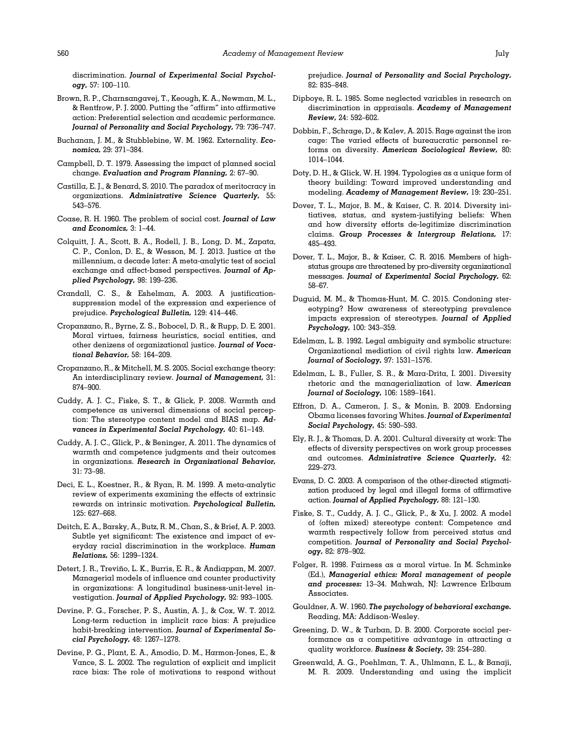<span id="page-22-0"></span>discrimination. Journal of Experimental Social Psychology, 57: 100–110.

- Brown, R. P., Charnsangavej, T., Keough, K. A., Newman, M. L., & Rentfrow, P. J. 2000. Putting the "affirm" into affirmative action: Preferential selection and academic performance. Journal of Personality and Social Psychology, 79: 736–747.
- Buchanan, J. M., & Stubblebine, W. M. 1962. Externality. Economica, 29: 371–384.
- Campbell, D. T. 1979. Assessing the impact of planned social change. Evaluation and Program Planning, 2: 67–90.
- Castilla, E. J., & Benard, S. 2010. The paradox of meritocracy in organizations. Administrative Science Quarterly, 55: 543–576.
- Coase, R. H. 1960. The problem of social cost. Journal of Law and Economics, 3: 1–44.
- Colquitt, J. A., Scott, B. A., Rodell, J. B., Long, D. M., Zapata, C. P., Conlon, D. E., & Wesson, M. J. 2013. Justice at the millennium, a decade later: A meta-analytic test of social exchange and affect-based perspectives. Journal of Applied Psychology, 98: 199–236.
- Crandall, C. S., & Eshelman, A. 2003. A justificationsuppression model of the expression and experience of prejudice. Psychological Bulletin, 129: 414–446.
- Cropanzano, R., Byrne, Z. S., Bobocel, D. R., & Rupp, D. E. 2001. Moral virtues, fairness heuristics, social entities, and other denizens of organizational justice. Journal of Vocational Behavior, 58: 164–209.
- Cropanzano, R., & Mitchell, M. S. 2005. Social exchange theory: An interdisciplinary review. Journal of Management, 31: 874–900.
- Cuddy, A. J. C., Fiske, S. T., & Glick, P. 2008. Warmth and competence as universal dimensions of social perception: The stereotype content model and BIAS map. Advances in Experimental Social Psychology, 40: 61–149.
- Cuddy, A. J. C., Glick, P., & Beninger, A. 2011. The dynamics of warmth and competence judgments and their outcomes in organizations. Research in Organizational Behavior, 31: 73–98.
- Deci, E. L., Koestner, R., & Ryan, R. M. 1999. A meta-analytic review of experiments examining the effects of extrinsic rewards on intrinsic motivation. Psychological Bulletin, 125: 627–668.
- Deitch, E. A., Barsky, A., Butz, R. M., Chan, S., & Brief, A. P. 2003. Subtle yet significant: The existence and impact of everyday racial discrimination in the workplace. Human Relations, 56: 1299–1324.
- Detert, J. R., Treviño, L. K., Burris, E. R., & Andiappan, M. 2007. Managerial models of influence and counter productivity in organizations: A longitudinal business-unit-level investigation. Journal of Applied Psychology, 92: 993–1005.
- Devine, P. G., Forscher, P. S., Austin, A. J., & Cox, W. T. 2012. Long-term reduction in implicit race bias: A prejudice habit-breaking intervention. Journal of Experimental Social Psychology, 48: 1267–1278.
- Devine, P. G., Plant, E. A., Amodio, D. M., Harmon-Jones, E., & Vance, S. L. 2002. The regulation of explicit and implicit race bias: The role of motivations to respond without

prejudice. Journal of Personality and Social Psychology, 82: 835–848.

- Dipboye, R. L. 1985. Some neglected variables in research on discrimination in appraisals. Academy of Management Review, 24: 592–602.
- Dobbin, F., Schrage, D., & Kalev, A. 2015. Rage against the iron cage: The varied effects of bureaucratic personnel reforms on diversity. American Sociological Review, 80: 1014–1044.
- Doty, D. H., & Glick, W. H. 1994. Typologies as a unique form of theory building: Toward improved understanding and modeling. Academy of Management Review, 19: 230–251.
- Dover, T. L., Major, B. M., & Kaiser, C. R. 2014. Diversity initiatives, status, and system-justifying beliefs: When and how diversity efforts de-legitimize discrimination claims. Group Processes & Intergroup Relations, 17: 485–493.
- Dover, T. L., Major, B., & Kaiser, C. R. 2016. Members of highstatus groups are threatened by pro-diversity organizational messages. Journal of Experimental Social Psychology, 62: 58–67.
- Duguid, M. M., & Thomas-Hunt, M. C. 2015. Condoning stereotyping? How awareness of stereotyping prevalence impacts expression of stereotypes. Journal of Applied Psychology, 100: 343–359.
- Edelman, L. B. 1992. Legal ambiguity and symbolic structure: Organizational mediation of civil rights law. American Journal of Sociology, 97: 1531–1576.
- Edelman, L. B., Fuller, S. R., & Mara-Drita, I. 2001. Diversity rhetoric and the managerialization of law. American Journal of Sociology, 106: 1589–1641.
- Effron, D. A., Cameron, J. S., & Monin, B. 2009. Endorsing Obama licenses favoring Whites. Journal of Experimental Social Psychology, 45: 590–593.
- Ely, R. J., & Thomas, D. A. 2001. Cultural diversity at work: The effects of diversity perspectives on work group processes and outcomes. Administrative Science Quarterly, 42: 229–273.
- Evans, D. C. 2003. A comparison of the other-directed stigmatization produced by legal and illegal forms of affirmative action. Journal of Applied Psychology, 88: 121–130.
- Fiske, S. T., Cuddy, A. J. C., Glick, P., & Xu, J. 2002. A model of (often mixed) stereotype content: Competence and warmth respectively follow from perceived status and competition. Journal of Personality and Social Psychology, 82: 878–902.
- Folger, R. 1998. Fairness as a moral virtue. In M. Schminke (Ed.), Managerial ethics: Moral management of people and processes: 13–34. Mahwah, NJ: Lawrence Erlbaum Associates.
- Gouldner, A. W. 1960. The psychology of behavioral exchange. Reading, MA: Addison-Wesley.
- Greening, D. W., & Turban, D. B. 2000. Corporate social performance as a competitive advantage in attracting a quality workforce. Business & Society, 39: 254–280.
- Greenwald, A. G., Poehlman, T. A., Uhlmann, E. L., & Banaji, M. R. 2009. Understanding and using the implicit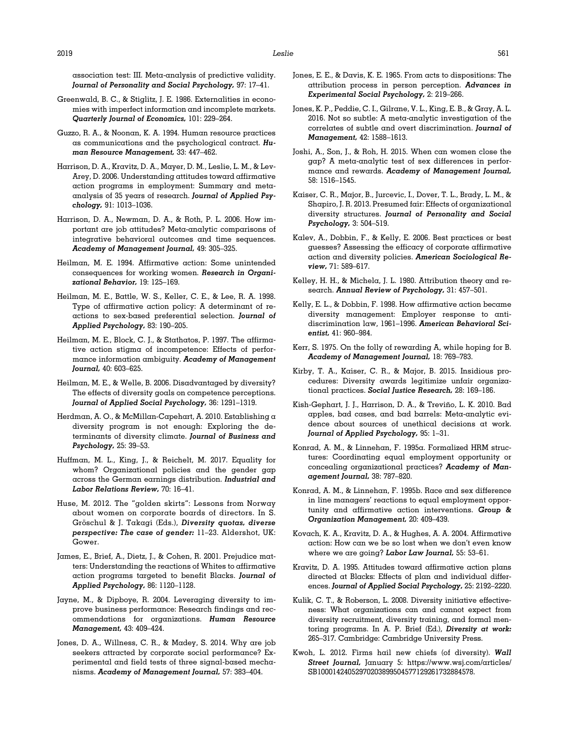<span id="page-23-0"></span>association test: III. Meta-analysis of predictive validity. Journal of Personality and Social Psychology, 97: 17–41.

- Greenwald, B. C., & Stiglitz, J. E. 1986. Externalities in economies with imperfect information and incomplete markets. Quarterly Journal of Economics, 101: 229–264.
- Guzzo, R. A., & Noonan, K. A. 1994. Human resource practices as communications and the psychological contract. Human Resource Management, 33: 447–462.
- Harrison, D. A., Kravitz, D. A., Mayer, D. M., Leslie, L. M., & Lev-Arey, D. 2006. Understanding attitudes toward affirmative action programs in employment: Summary and metaanalysis of 35 years of research. Journal of Applied Psychology, 91: 1013–1036.
- Harrison, D. A., Newman, D. A., & Roth, P. L. 2006. How important are job attitudes? Meta-analytic comparisons of integrative behavioral outcomes and time sequences. Academy of Management Journal, 49: 305–325.
- Heilman, M. E. 1994. Affirmative action: Some unintended consequences for working women. Research in Organizational Behavior, 19: 125–169.
- Heilman, M. E., Battle, W. S., Keller, C. E., & Lee, R. A. 1998. Type of affirmative action policy: A determinant of reactions to sex-based preferential selection. Journal of Applied Psychology, 83: 190–205.
- Heilman, M. E., Block, C. J., & Stathatos, P. 1997. The affirmative action stigma of incompetence: Effects of performance information ambiguity. Academy of Management Journal, 40: 603–625.
- Heilman, M. E., & Welle, B. 2006. Disadvantaged by diversity? The effects of diversity goals on competence perceptions. Journal of Applied Social Psychology, 36: 1291–1319.
- Herdman, A. O., & McMillan-Capehart, A. 2010. Establishing a diversity program is not enough: Exploring the determinants of diversity climate. Journal of Business and Psychology, 25: 39–53.
- Huffman, M. L., King, J., & Reichelt, M. 2017. Equality for whom? Organizational policies and the gender gap across the German earnings distribution. Industrial and Labor Relations Review, 70: 16–41.
- Huse, M. 2012. The "golden skirts": Lessons from Norway about women on corporate boards of directors. In S. Gröschul & J. Takagi (Eds.), Diversity quotas, diverse perspective: The case of gender: 11–23. Aldershot, UK: Gower.
- James, E., Brief, A., Dietz, J., & Cohen, R. 2001. Prejudice matters: Understanding the reactions of Whites to affirmative action programs targeted to benefit Blacks. Journal of Applied Psychology, 86: 1120–1128.
- Jayne, M., & Dipboye, R. 2004. Leveraging diversity to improve business performance: Research findings and recommendations for organizations. Human Resource Management, 43: 409–424.
- Jones, D. A., Willness, C. R., & Madey, S. 2014. Why are job seekers attracted by corporate social performance? Experimental and field tests of three signal-based mechanisms. Academy of Management Journal, 57: 383–404.
- Jones, E. E., & Davis, K. E. 1965. From acts to dispositions: The attribution process in person perception. Advances in Experimental Social Psychology, 2: 219–266.
- Jones, K. P., Peddie, C. I., Gilrane, V. L., King, E. B., & Gray, A. L. 2016. Not so subtle: A meta-analytic investigation of the correlates of subtle and overt discrimination. Journal of Management, 42: 1588–1613.
- Joshi, A., Son, J., & Roh, H. 2015. When can women close the gap? A meta-analytic test of sex differences in performance and rewards. Academy of Management Journal, 58: 1516–1545.
- Kaiser, C. R., Major, B., Jurcevic, I., Dover, T. L., Brady, L. M., & Shapiro, J. R. 2013. Presumed fair: Effects of organizational diversity structures. Journal of Personality and Social Psychology, 3: 504–519.
- Kalev, A., Dobbin, F., & Kelly, E. 2006. Best practices or best guesses? Assessing the efficacy of corporate affirmative action and diversity policies. American Sociological Review, 71: 589–617.
- Kelley, H. H., & Michela, J. L. 1980. Attribution theory and research. Annual Review of Psychology, 31: 457–501.
- Kelly, E. L., & Dobbin, F. 1998. How affirmative action became diversity management: Employer response to antidiscrimination law, 1961–1996. American Behavioral Scientist, 41: 960–984.
- Kerr, S. 1975. On the folly of rewarding A, while hoping for B. Academy of Management Journal, 18: 769–783.
- Kirby, T. A., Kaiser, C. R., & Major, B. 2015. Insidious procedures: Diversity awards legitimize unfair organizational practices. Social Justice Research, 28: 169–186.
- Kish-Gephart, J. J., Harrison, D. A., & Treviño, L. K. 2010. Bad apples, bad cases, and bad barrels: Meta-analytic evidence about sources of unethical decisions at work. Journal of Applied Psychology, 95: 1–31.
- Konrad, A. M., & Linnehan, F. 1995a. Formalized HRM structures: Coordinating equal employment opportunity or concealing organizational practices? Academy of Management Journal, 38: 787–820.
- Konrad, A. M., & Linnehan, F. 1995b. Race and sex difference in line managers' reactions to equal employment opportunity and affirmative action interventions. Group & Organization Management, 20: 409–439.
- Kovach, K. A., Kravitz, D. A., & Hughes, A. A. 2004. Affirmative action: How can we be so lost when we don't even know where we are going? Labor Law Journal, 55: 53-61.
- Kravitz, D. A. 1995. Attitudes toward affirmative action plans directed at Blacks: Effects of plan and individual differences. Journal of Applied Social Psychology, 25: 2192–2220.
- Kulik, C. T., & Roberson, L. 2008. Diversity initiative effectiveness: What organizations can and cannot expect from diversity recruitment, diversity training, and formal mentoring programs. In A. P. Brief (Ed.), Diversity at work: 265–317. Cambridge: Cambridge University Press.
- Kwoh, L. 2012. Firms hail new chiefs (of diversity). Wall Street Journal, January 5: [https://www.wsj.com/articles/](https://www.wsj.com/articles/SB10001424052970203899504577129261732884578) [SB10001424052970203899504577129261732884578](https://www.wsj.com/articles/SB10001424052970203899504577129261732884578).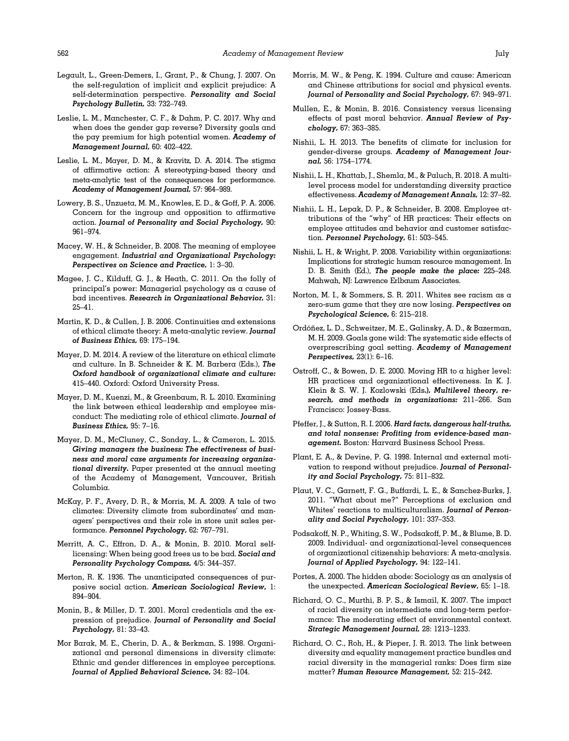- <span id="page-24-0"></span>Legault, L., Green-Demers, I., Grant, P., & Chung, J. 2007. On the self-regulation of implicit and explicit prejudice: A self-determination perspective. Personality and Social Psychology Bulletin, 33: 732–749.
- Leslie, L. M., Manchester, C. F., & Dahm, P. C. 2017. Why and when does the gender gap reverse? Diversity goals and the pay premium for high potential women. Academy of Management Journal, 60: 402–422.
- Leslie, L. M., Mayer, D. M., & Kravitz, D. A. 2014. The stigma of affirmative action: A stereotyping-based theory and meta-analytic test of the consequences for performance. Academy of Management Journal, 57: 964–989.
- Lowery, B. S., Unzueta, M. M., Knowles, E. D., & Goff, P. A. 2006. Concern for the ingroup and opposition to affirmative action. Journal of Personality and Social Psychology, 90: 961–974.
- Macey, W. H., & Schneider, B. 2008. The meaning of employee engagement. Industrial and Organizational Psychology: Perspectives on Science and Practice, 1: 3–30.
- Magee, J. C., Kilduff, G. J., & Heath, C. 2011. On the folly of principal's power: Managerial psychology as a cause of bad incentives. Research in Organizational Behavior, 31: 25–41.
- Martin, K. D., & Cullen, J. B. 2006. Continuities and extensions of ethical climate theory: A meta-analytic review. Journal of Business Ethics, 69: 175–194.
- Mayer, D. M. 2014. A review of the literature on ethical climate and culture. In B. Schneider & K. M. Barbera (Eds.), The Oxford handbook of organizational climate and culture: 415–440. Oxford: Oxford University Press.
- Mayer, D. M., Kuenzi, M., & Greenbaum, R. L. 2010. Examining the link between ethical leadership and employee misconduct: The mediating role of ethical climate. Journal of Business Ethics, 95: 7–16.
- Mayer, D. M., McCluney, C., Sonday, L., & Cameron, L. 2015. Giving managers the business: The effectiveness of business and moral case arguments for increasing organizational diversity. Paper presented at the annual meeting of the Academy of Management, Vancouver, British Columbia.
- McKay, P. F., Avery, D. R., & Morris, M. A. 2009. A tale of two climates: Diversity climate from subordinates' and managers' perspectives and their role in store unit sales performance. Personnel Psychology, 62: 767–791.
- Merritt, A. C., Effron, D. A., & Monin, B. 2010. Moral selflicensing: When being good frees us to be bad. Social and Personality Psychology Compass, 4/5: 344–357.
- Merton, R. K. 1936. The unanticipated consequences of purposive social action. American Sociological Review, 1: 894–904.
- Monin, B., & Miller, D. T. 2001. Moral credentials and the expression of prejudice. Journal of Personality and Social Psychology, 81: 33–43.
- Mor Barak, M. E., Cherin, D. A., & Berkman, S. 1998. Organizational and personal dimensions in diversity climate: Ethnic and gender differences in employee perceptions. Journal of Applied Behavioral Science, 34: 82–104.
- Morris, M. W., & Peng, K. 1994. Culture and cause: American and Chinese attributions for social and physical events. Journal of Personality and Social Psychology, 67: 949–971.
- Mullen, E., & Monin, B. 2016. Consistency versus licensing effects of past moral behavior. Annual Review of Psychology, 67: 363–385.
- Nishii, L. H. 2013. The benefits of climate for inclusion for gender-diverse groups. Academy of Management Journal, 56: 1754–1774.
- Nishii, L. H., Khattab, J., Shemla, M., & Paluch, R. 2018. A multilevel process model for understanding diversity practice effectiveness. Academy of Management Annals, 12: 37–82.
- Nishii, L. H., Lepak, D. P., & Schneider, B. 2008. Employee attributions of the "why" of HR practices: Their effects on employee attitudes and behavior and customer satisfaction. Personnel Psychology, 61: 503–545.
- Nishii, L. H., & Wright, P. 2008. Variability within organizations: Implications for strategic human resource management. In D. B. Smith (Ed.), The people make the place: 225–248. Mahwah, NJ: Lawrence Erlbaum Associates.
- Norton, M. I., & Sommers, S. R. 2011. Whites see racism as a zero-sum game that they are now losing. Perspectives on Psychological Science, 6: 215–218.
- Ordoñez, L. D., Schweitzer, M. E., Galinsky, A. D., & Bazerman, ´ M. H. 2009. Goals gone wild: The systematic side effects of overprescribing goal setting. Academy of Management Perspectives, 23(1): 6-16.
- Ostroff, C., & Bowen, D. E. 2000. Moving HR to a higher level: HR practices and organizational effectiveness. In K. J. Klein & S. W. J. Kozlowski (Eds.), Multilevel theory, research, and methods in organizations: 211–266. San Francisco: Jossey-Bass.
- Pfeffer, J., & Sutton, R. I. 2006. Hard facts, dangerous half-truths, and total nonsense: Profiting from evidence-based management. Boston: Harvard Business School Press.
- Plant, E. A., & Devine, P. G. 1998. Internal and external motivation to respond without prejudice. Journal of Personality and Social Psychology, 75: 811–832.
- Plaut, V. C., Garnett, F. G., Buffardi, L. E., & Sanchez-Burks, J. 2011. "What about me?" Perceptions of exclusion and Whites' reactions to multiculturalism. Journal of Personality and Social Psychology, 101: 337–353.
- Podsakoff, N. P., Whiting, S. W., Podsakoff, P. M., & Blume, B. D. 2009. Individual- and organizational-level consequences of organizational citizenship behaviors: A meta-analysis. Journal of Applied Psychology, 94: 122–141.
- Portes, A. 2000. The hidden abode: Sociology as an analysis of the unexpected. American Sociological Review, 65: 1–18.
- Richard, O. C., Murthi, B. P. S., & Ismail, K. 2007. The impact of racial diversity on intermediate and long-term performance: The moderating effect of environmental context. Strategic Management Journal, 28: 1213–1233.
- Richard, O. C., Roh, H., & Pieper, J. R. 2013. The link between diversity and equality management practice bundles and racial diversity in the managerial ranks: Does firm size matter? Human Resource Management, 52: 215–242.